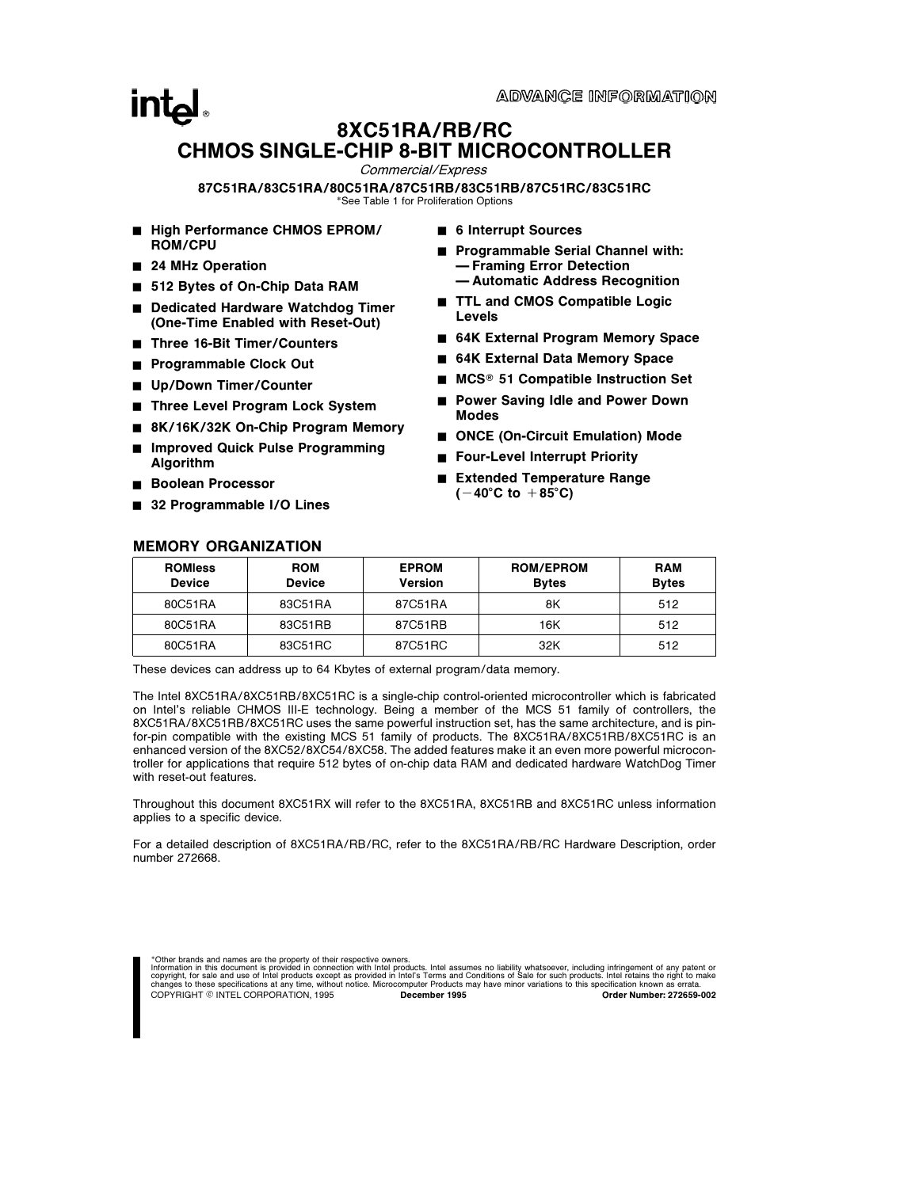# $\mathsf{Int}_{\mathsf{a}}$ 8XC51RA/RB/RC CHMOS SINGLE-CHIP 8-BIT MICROCONTROLLER

Commercial/Express

87C51RA/83C51RA/80C51RA/87C51RB/83C51RB/87C51RC/83C51RC \*See Table 1 for Proliferation Options

- High Performance CHMOS EPROM/ ROM/CPU
- 24 MHz Operation
- 512 Bytes of On-Chip Data RAM
- Dedicated Hardware Watchdog Timer (One-Time Enabled with Reset-Out)
- Three 16-Bit Timer/Counters
- Programmable Clock Out
- Up/Down Timer/Counter
- Three Level Program Lock System
- 8K/16K/32K On-Chip Program Memory
- Improved Quick Pulse Programming Algorithm
- Boolean Processor
- 32 Programmable I/O Lines

MEMORY ORGANIZATION

- 6 Interrupt Sources
- Programmable Serial Channel with: Ð Framing Error Detection Ð Automatic Address Recognition
- TTL and CMOS Compatible Logic Levels
- 64K External Program Memory Space
- 64K External Data Memory Space
- $MCS<sup>®</sup>$  51 Compatible Instruction Set
- **Power Saving Idle and Power Down** Modes
- ONCE (On-Circuit Emulation) Mode
- Four-Level Interrupt Priority
- Extended Temperature Range  $(-40^{\circ}C \text{ to } +85^{\circ}C)$

| <b>ROMIess</b><br><b>Device</b> | <b>ROM</b><br><b>Device</b> | <b>EPROM</b><br><b>Version</b> | <b>ROM/EPROM</b><br><b>Bytes</b> | <b>RAM</b><br><b>Bytes</b> |
|---------------------------------|-----------------------------|--------------------------------|----------------------------------|----------------------------|
| 80C51RA                         | 83C51RA                     | 87C51RA                        | 8K                               | 512                        |
| 80C51RA                         | 83C51RB                     | 87C51RB                        | 16K                              | 512                        |
| 80C51RA                         | 83C51RC                     | 87C51RC                        | 32K                              | 512                        |

These devices can address up to 64 Kbytes of external program/data memory.

The Intel 8XC51RA/8XC51RB/8XC51RC is a single-chip control-oriented microcontroller which is fabricated on Intel's reliable CHMOS III-E technology. Being a member of the MCS 51 family of controllers, the 8XC51RA/8XC51RB/8XC51RC uses the same powerful instruction set, has the same architecture, and is pinfor-pin compatible with the existing MCS 51 family of products. The 8XC51RA/8XC51RB/8XC51RC is an enhanced version of the 8XC52/8XC54/8XC58. The added features make it an even more powerful microcontroller for applications that require 512 bytes of on-chip data RAM and dedicated hardware WatchDog Timer with reset-out features.

Throughout this document 8XC51RX will refer to the 8XC51RA, 8XC51RB and 8XC51RC unless information applies to a specific device.

For a detailed description of 8XC51RA/RB/RC, refer to the 8XC51RA/RB/RC Hardware Description, order number 272668.

\*Other brands and names are the property of their respective owners.

Information in this document is provided in connection with Intel products. Intel assumes no liability whatsoever, including infringement of any patent or<br>copyright, for sale and use of Intel products except as provided in COPYRIGHT © INTEL CORPORATION, 1995 December 1995 Order Number: 272659-002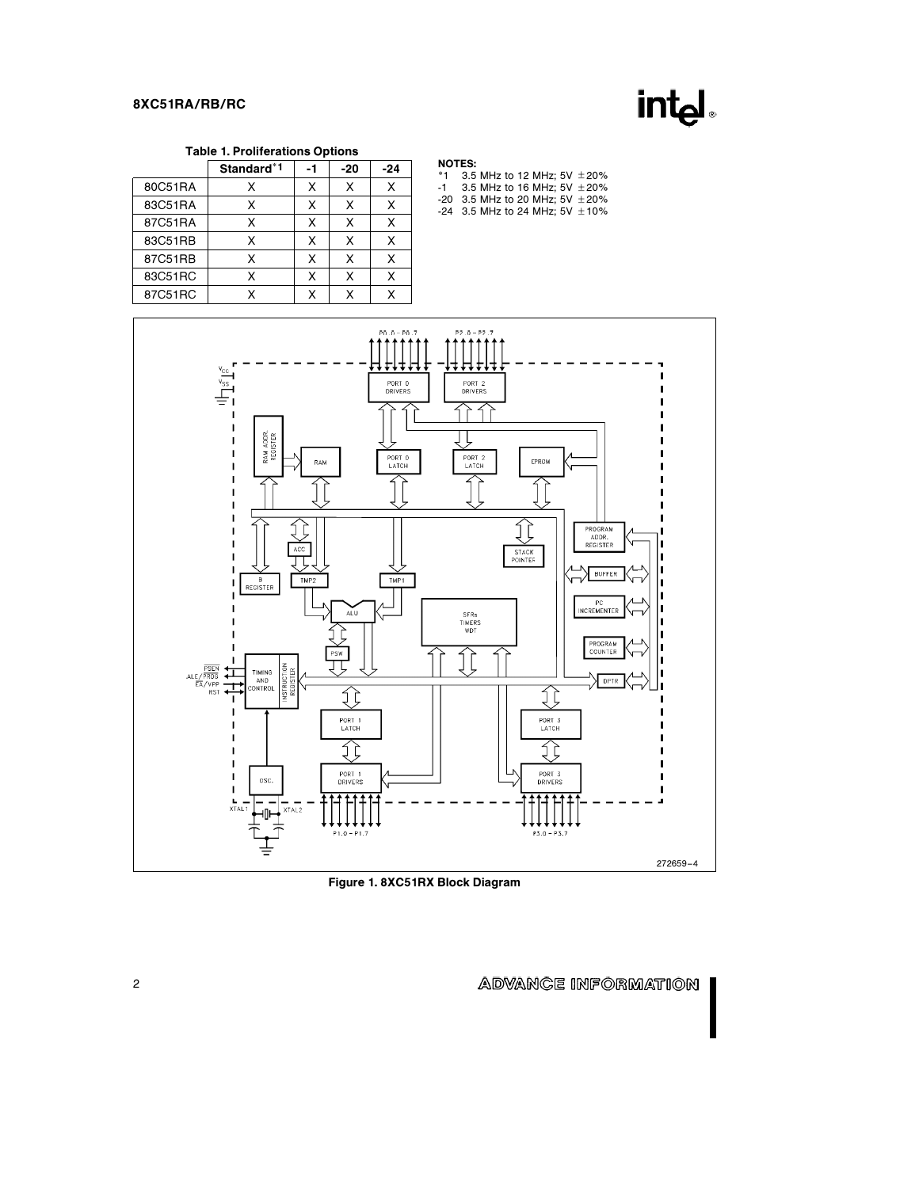

### Table 1. Proliferations Options

|         | Standard <sup>*1</sup> | -1 | $-20$ | $-24$ |
|---------|------------------------|----|-------|-------|
| 80C51RA | x                      | X  | X     | X     |
| 83C51RA | x                      | X  | X     | x     |
| 87C51RA | x                      | x  | X     | x     |
| 83C51RB | x                      | X  | Χ     | х     |
| 87C51RB | x                      | x  | x     | x     |
| 83C51RC | X                      | χ  | X     | x     |
| 87C51RC | v                      | χ  | x     |       |

#### NOTES:

| *1 3.5 MHz to 12 MHz: 5V $\pm$ 20%   |
|--------------------------------------|
| $-1$ 3.5 MHz to 16 MHz: 5V $\pm$ 20% |
| $-20$ 3.5 MHz to 20 MHz: 5V $+20\%$  |

-20 3.5 MHz to 20 MHz; 5V ± 20%<br>-24 3.5 MHz to 24 MHz; 5V ± 10%



Figure 1. 8XC51RX Block Diagram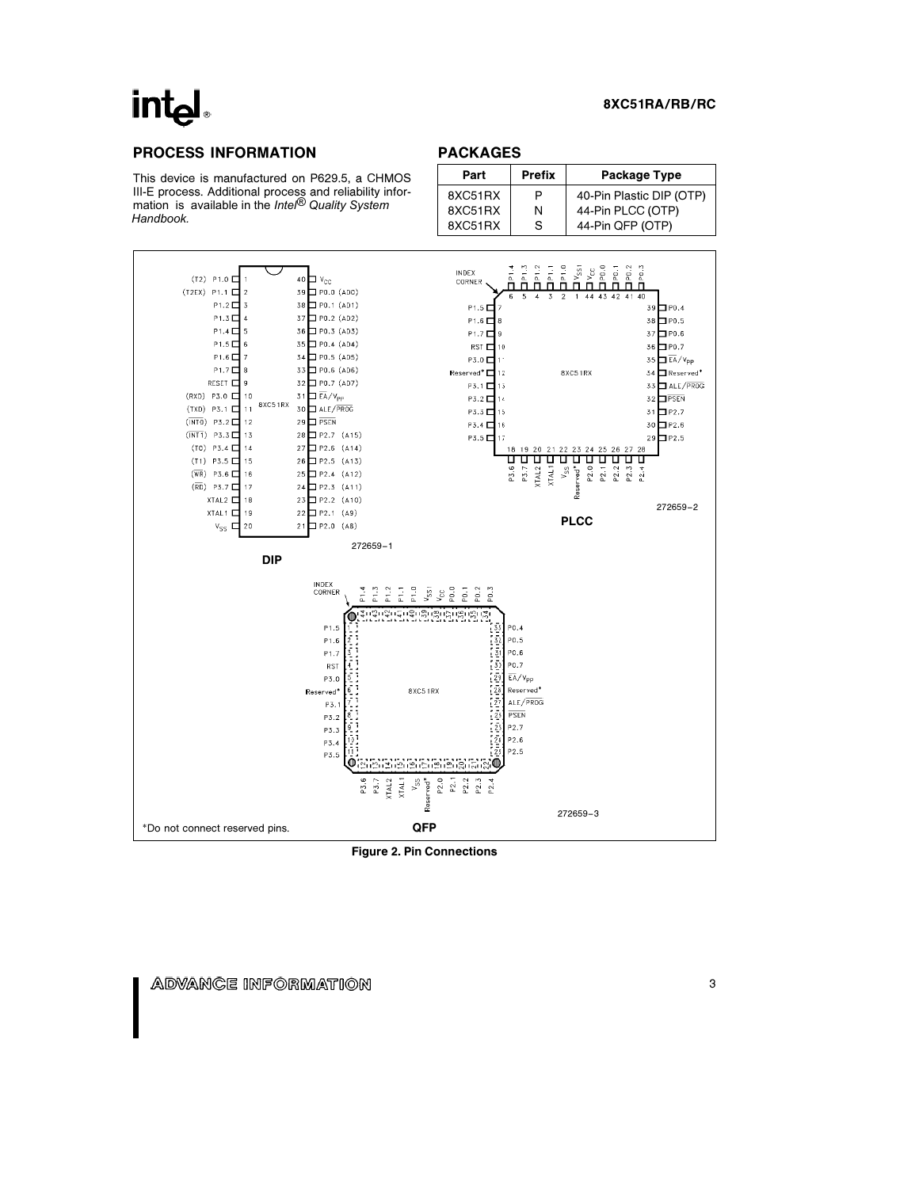# **intel**

#### 8XC51RA/RB/RC

# PROCESS INFORMATION

This device is manufactured on P629.5, a CHMOS III-E process. Additional process and reliability infor-mation is available in the *Intel® Quality System Handbook.*

# PACKAGES

| Part    | <b>Prefix</b><br>Package Type |                          |  |  |
|---------|-------------------------------|--------------------------|--|--|
| 8XC51RX | Р                             | 40-Pin Plastic DIP (OTP) |  |  |
| 8XC51RX | N                             | 44-Pin PLCC (OTP)        |  |  |
| 8XC51RX | S                             | 44-Pin QFP (OTP)         |  |  |



Figure 2. Pin Connections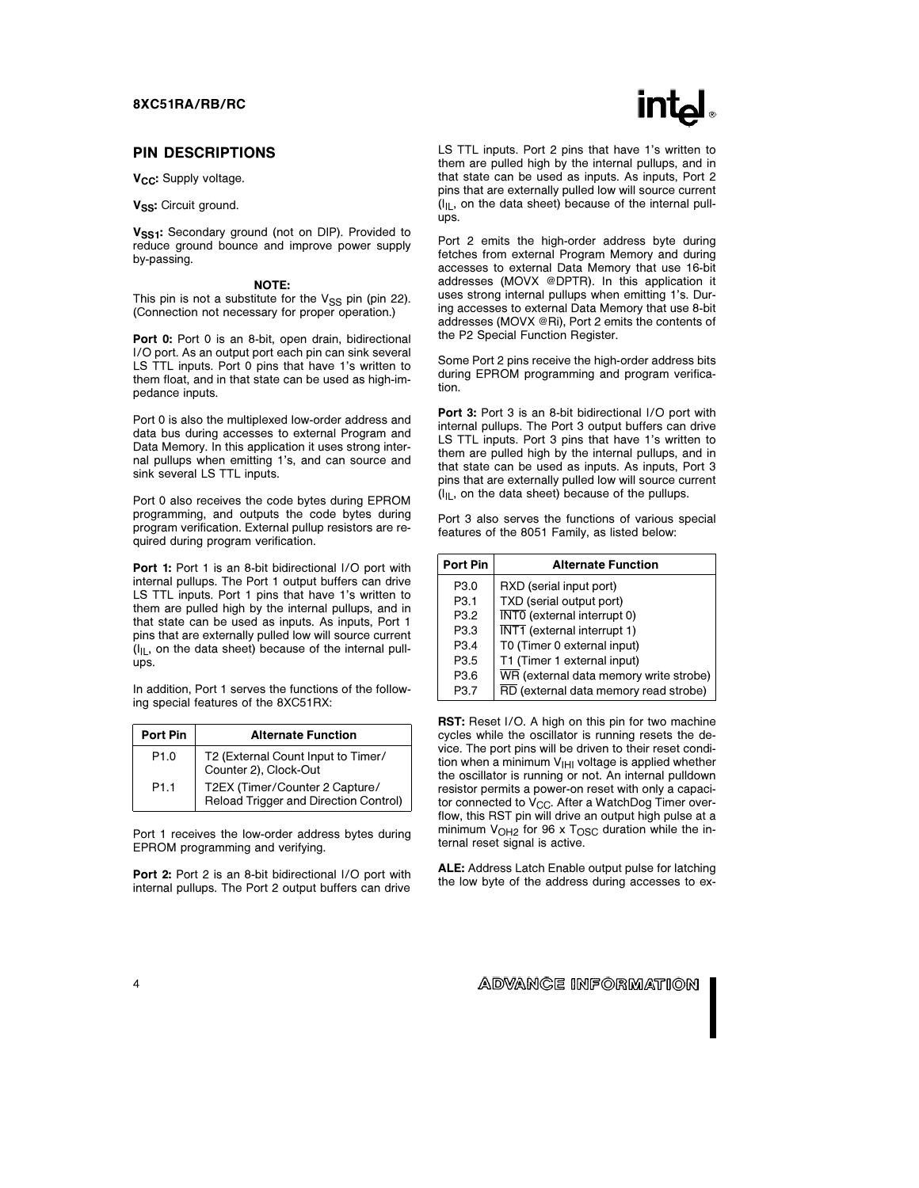#### PIN DESCRIPTIONS

V<sub>CC</sub>: Supply voltage.

V<sub>SS</sub>: Circuit ground.

V<sub>SS1</sub>: Secondary ground (not on DIP). Provided to reduce ground bounce and improve power supply by-passing.

#### NOTE:

This pin is not a substitute for the  $V_{SS}$  pin (pin 22). (Connection not necessary for proper operation.)

Port 0: Port 0 is an 8-bit, open drain, bidirectional I/O port. As an output port each pin can sink several LS TTL inputs. Port 0 pins that have 1's written to them float, and in that state can be used as high-impedance inputs.

Port 0 is also the multiplexed low-order address and data bus during accesses to external Program and Data Memory. In this application it uses strong internal pullups when emitting 1's, and can source and sink several LS TTL inputs.

Port 0 also receives the code bytes during EPROM programming, and outputs the code bytes during program verification. External pullup resistors are required during program verification.

Port 1: Port 1 is an 8-bit bidirectional I/O port with internal pullups. The Port 1 output buffers can drive LS TTL inputs. Port 1 pins that have 1's written to them are pulled high by the internal pullups, and in that state can be used as inputs. As inputs, Port 1 pins that are externally pulled low will source current  $(I<sub>IL</sub>$ , on the data sheet) because of the internal pullups.

In addition, Port 1 serves the functions of the following special features of the 8XC51RX:

| Port Pin         | <b>Alternate Function</b>                                               |
|------------------|-------------------------------------------------------------------------|
| P <sub>1.0</sub> | T2 (External Count Input to Timer/<br>Counter 2), Clock-Out             |
| P <sub>1.1</sub> | T2EX (Timer/Counter 2 Capture/<br>Reload Trigger and Direction Control) |

Port 1 receives the low-order address bytes during EPROM programming and verifying.

Port 2: Port 2 is an 8-bit bidirectional I/O port with internal pullups. The Port 2 output buffers can drive



LS TTL inputs. Port 2 pins that have 1's written to them are pulled high by the internal pullups, and in that state can be used as inputs. As inputs, Port 2 pins that are externally pulled low will source current  $(I_{|L}$ , on the data sheet) because of the internal pullups.

Port 2 emits the high-order address byte during fetches from external Program Memory and during accesses to external Data Memory that use 16-bit addresses (MOVX @DPTR). In this application it uses strong internal pullups when emitting 1's. During accesses to external Data Memory that use 8-bit addresses (MOVX @Ri), Port 2 emits the contents of the P2 Special Function Register.

Some Port 2 pins receive the high-order address bits during EPROM programming and program verification.

Port 3: Port 3 is an 8-bit bidirectional I/O port with internal pullups. The Port 3 output buffers can drive LS TTL inputs. Port 3 pins that have 1's written to them are pulled high by the internal pullups, and in that state can be used as inputs. As inputs, Port 3 pins that are externally pulled low will source current  $(I<sub>IL</sub>$ , on the data sheet) because of the pullups.

Port 3 also serves the functions of various special features of the 8051 Family, as listed below:

| Port Pin | <b>Alternate Function</b>                       |
|----------|-------------------------------------------------|
| P3.0     | RXD (serial input port)                         |
| P3.1     | TXD (serial output port)                        |
| P3.2     | $\overline{\text{INT0}}$ (external interrupt 0) |
| P3.3     | $\overline{\text{INT1}}$ (external interrupt 1) |
| P3.4     | T0 (Timer 0 external input)                     |
| P3.5     | T1 (Timer 1 external input)                     |
| P3.6     | WR (external data memory write strobe)          |
| P3.7     | RD (external data memory read strobe)           |

RST: Reset I/O. A high on this pin for two machine cycles while the oscillator is running resets the device. The port pins will be driven to their reset condition when a minimum  $V_{\text{IHI}}$  voltage is applied whether the oscillator is running or not. An internal pulldown resistor permits a power-on reset with only a capacitor connected to  $V_{CC}$ . After a WatchDog Timer overflow, this RST pin will drive an output high pulse at a minimum  $V_{OH2}$  for 96 x  $T_{OSC}$  duration while the internal reset signal is active.

ALE: Address Latch Enable output pulse for latching the low byte of the address during accesses to ex-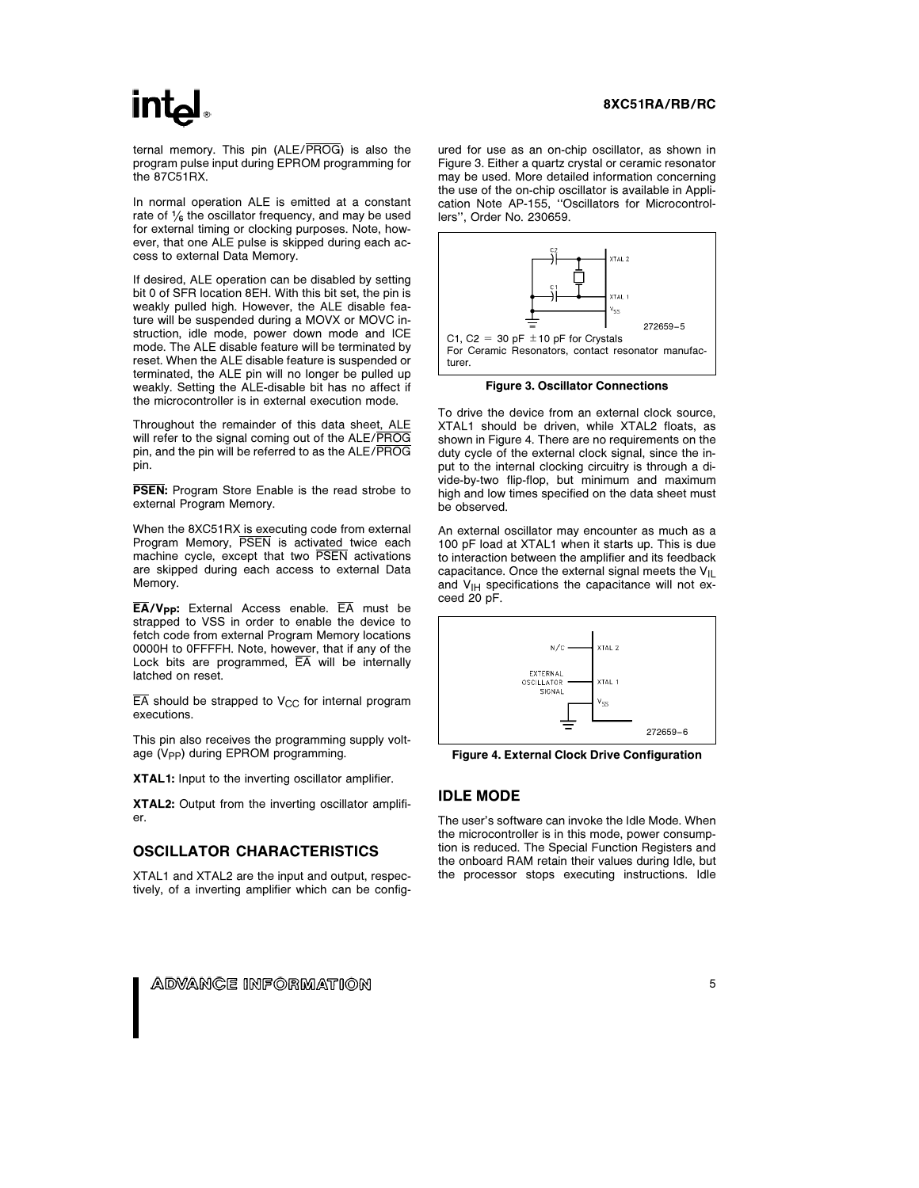ternal memory. This pin (ALE/PROG) is also the program pulse input during EPROM programming for the 87C51RX.

In normal operation ALE is emitted at a constant rate of  $\frac{1}{6}$  the oscillator frequency, and may be used for external timing or clocking purposes. Note, however, that one ALE pulse is skipped during each access to external Data Memory.

If desired, ALE operation can be disabled by setting bit 0 of SFR location 8EH. With this bit set, the pin is weakly pulled high. However, the ALE disable feature will be suspended during a MOVX or MOVC instruction, idle mode, power down mode and ICE mode. The ALE disable feature will be terminated by reset. When the ALE disable feature is suspended or terminated, the ALE pin will no longer be pulled up weakly. Setting the ALE-disable bit has no affect if the microcontroller is in external execution mode.

Throughout the remainder of this data sheet, ALE will refer to the signal coming out of the ALE/PROG pin, and the pin will be referred to as the ALE/PROG pin.

**PSEN:** Program Store Enable is the read strobe to external Program Memory.

When the 8XC51RX is executing code from external Program Memory, PSEN is activated twice each machine cycle, except that two PSEN activations are skipped during each access to external Data Memory.

 $\overline{EA}/V_{\text{PP}}$ : External Access enable.  $\overline{EA}$  must be strapped to VSS in order to enable the device to fetch code from external Program Memory locations 0000H to 0FFFFH. Note, however, that if any of the Lock bits are programmed,  $\overline{EA}$  will be internally latched on reset.

 $\overline{EA}$  should be strapped to V<sub>CC</sub> for internal program executions.

This pin also receives the programming supply voltage (V<sub>PP</sub>) during EPROM programming.

XTAL1: Input to the inverting oscillator amplifier.

XTAL2: Output from the inverting oscillator amplifier.

#### OSCILLATOR CHARACTERISTICS

XTAL1 and XTAL2 are the input and output, respectively, of a inverting amplifier which can be config-

#### 8XC51RA/RB/RC

ured for use as an on-chip oscillator, as shown in Figure 3. Either a quartz crystal or ceramic resonator may be used. More detailed information concerning the use of the on-chip oscillator is available in Application Note AP-155, ''Oscillators for Microcontrollers'', Order No. 230659.



Figure 3. Oscillator Connections

To drive the device from an external clock source, XTAL1 should be driven, while XTAL2 floats, as shown in Figure 4. There are no requirements on the duty cycle of the external clock signal, since the input to the internal clocking circuitry is through a divide-by-two flip-flop, but minimum and maximum high and low times specified on the data sheet must be observed.

An external oscillator may encounter as much as a 100 pF load at XTAL1 when it starts up. This is due to interaction between the amplifier and its feedback capacitance. Once the external signal meets the  $V_{IL}$ and  $V_{\text{IH}}$  specifications the capacitance will not exceed 20 pF.



Figure 4. External Clock Drive Configuration

#### IDLE MODE

The user's software can invoke the Idle Mode. When the microcontroller is in this mode, power consumption is reduced. The Special Function Registers and the onboard RAM retain their values during Idle, but the processor stops executing instructions. Idle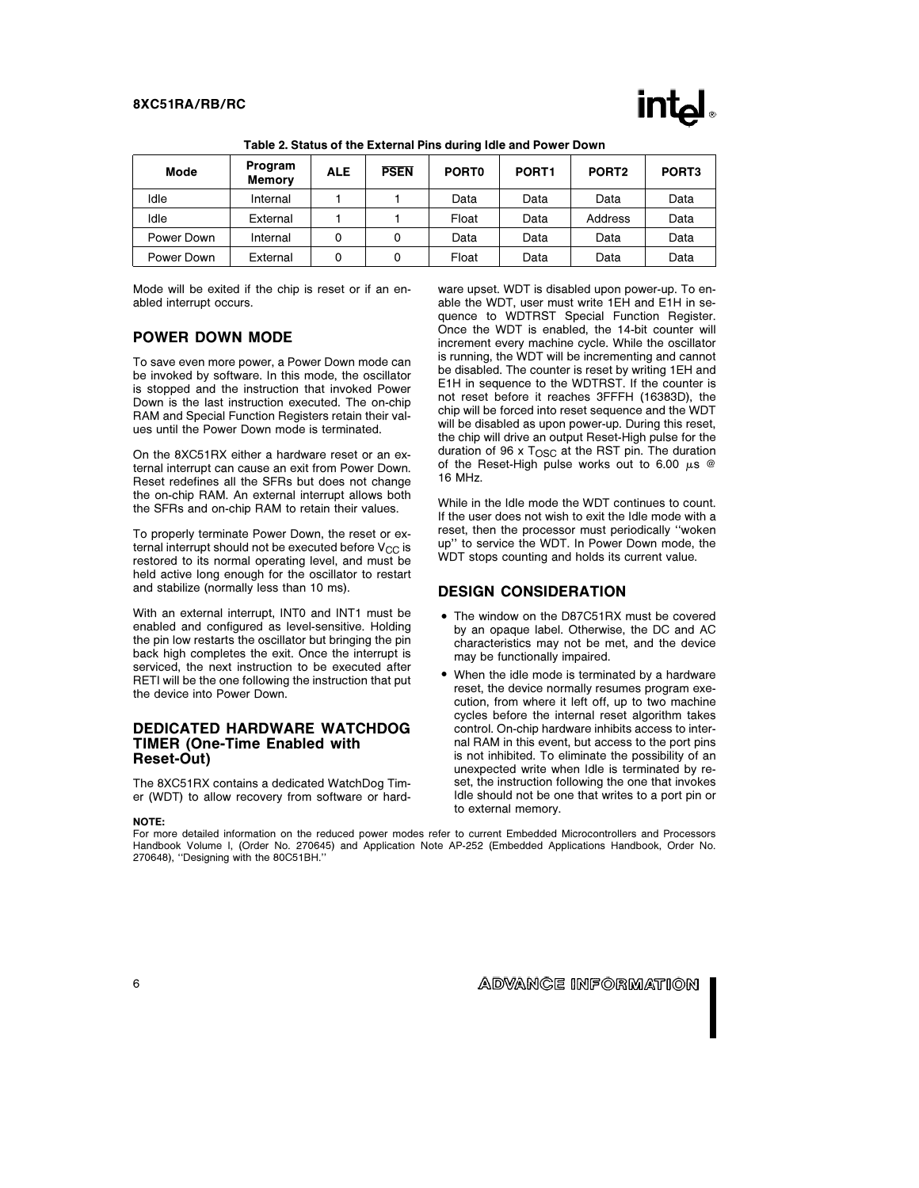

| Mode       | Program<br><b>Memory</b> | <b>ALE</b> | <b>PSEN</b> | PORT <sub>0</sub> | PORT <sub>1</sub> | PORT <sub>2</sub> | PORT <sub>3</sub> |
|------------|--------------------------|------------|-------------|-------------------|-------------------|-------------------|-------------------|
| Idle       | Internal                 |            |             | Data              | Data              | Data              | Data              |
| Idle       | External                 |            |             | Float             | Data              | Address           | Data              |
| Power Down | Internal                 | 0          | 0           | Data              | Data              | Data              | Data              |
| Power Down | External                 | 0          | 0           | Float             | Data              | Data              | Data              |

Table 2. Status of the External Pins during Idle and Power Down

Mode will be exited if the chip is reset or if an enabled interrupt occurs.

## POWER DOWN MODE

To save even more power, a Power Down mode can be invoked by software. In this mode, the oscillator is stopped and the instruction that invoked Power Down is the last instruction executed. The on-chip RAM and Special Function Registers retain their values until the Power Down mode is terminated.

On the 8XC51RX either a hardware reset or an external interrupt can cause an exit from Power Down. Reset redefines all the SFRs but does not change the on-chip RAM. An external interrupt allows both the SFRs and on-chip RAM to retain their values.

To properly terminate Power Down, the reset or external interrupt should not be executed before  $V_{CC}$  is restored to its normal operating level, and must be held active long enough for the oscillator to restart and stabilize (normally less than 10 ms).

With an external interrupt, INT0 and INT1 must be enabled and configured as level-sensitive. Holding the pin low restarts the oscillator but bringing the pin back high completes the exit. Once the interrupt is serviced, the next instruction to be executed after RETI will be the one following the instruction that put the device into Power Down.

#### DEDICATED HARDWARE WATCHDOG TIMER (One-Time Enabled with Reset-Out)

The 8XC51RX contains a dedicated WatchDog Timer (WDT) to allow recovery from software or hard-

#### NOTE:

ware upset. WDT is disabled upon power-up. To enable the WDT, user must write 1EH and E1H in sequence to WDTRST Special Function Register. Once the WDT is enabled, the 14-bit counter will increment every machine cycle. While the oscillator is running, the WDT will be incrementing and cannot be disabled. The counter is reset by writing 1EH and E1H in sequence to the WDTRST. If the counter is not reset before it reaches 3FFFH (16383D), the chip will be forced into reset sequence and the WDT will be disabled as upon power-up. During this reset, the chip will drive an output Reset-High pulse for the duration of 96 x  $T<sub>OSC</sub>$  at the RST pin. The duration of the Reset-High pulse works out to 6.00  $\mu$ s @ 16 MHz.

While in the Idle mode the WDT continues to count. If the user does not wish to exit the Idle mode with a reset, then the processor must periodically ''woken up'' to service the WDT. In Power Down mode, the WDT stops counting and holds its current value.

#### DESIGN CONSIDERATION

- The window on the D87C51RX must be covered by an opaque label. Otherwise, the DC and AC characteristics may not be met, and the device may be functionally impaired.
- When the idle mode is terminated by a hardware reset, the device normally resumes program execution, from where it left off, up to two machine cycles before the internal reset algorithm takes control. On-chip hardware inhibits access to internal RAM in this event, but access to the port pins is not inhibited. To eliminate the possibility of an unexpected write when Idle is terminated by reset, the instruction following the one that invokes Idle should not be one that writes to a port pin or to external memory.

For more detailed information on the reduced power modes refer to current Embedded Microcontrollers and Processors Handbook Volume I, (Order No. 270645) and Application Note AP-252 (Embedded Applications Handbook, Order No. 270648), ''Designing with the 80C51BH.''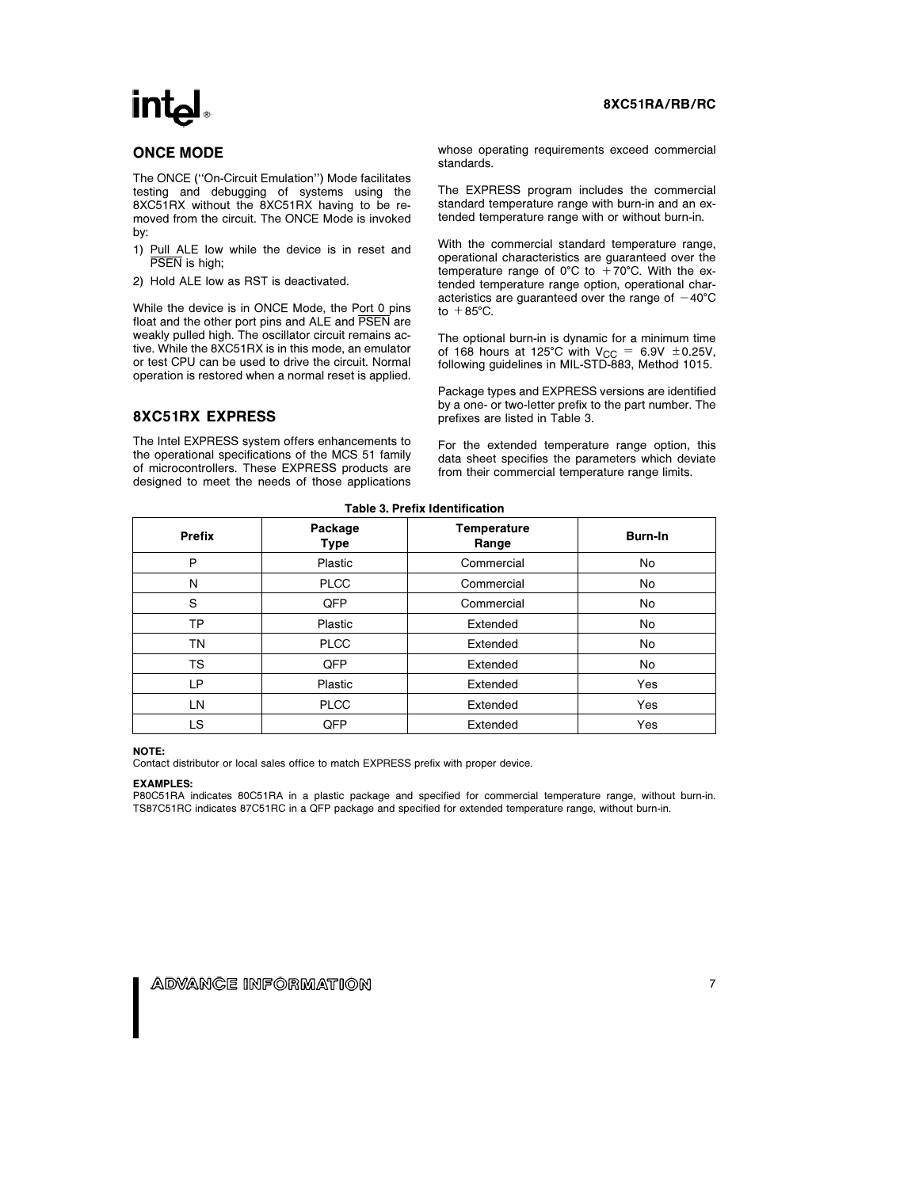# **intal**

# ONCE MODE

The ONCE (''On-Circuit Emulation'') Mode facilitates testing and debugging of systems using the 8XC51RX without the 8XC51RX having to be removed from the circuit. The ONCE Mode is invoked by:

- 1) Pull ALE low while the device is in reset and PSEN is high;
- 2) Hold ALE low as RST is deactivated.

While the device is in ONCE Mode, the Port 0 pins float and the other port pins and ALE and PSEN are weakly pulled high. The oscillator circuit remains active. While the 8XC51RX is in this mode, an emulator or test CPU can be used to drive the circuit. Normal operation is restored when a normal reset is applied.

# 8XC51RX EXPRESS

The Intel EXPRESS system offers enhancements to the operational specifications of the MCS 51 family of microcontrollers. These EXPRESS products are designed to meet the needs of those applications whose operating requirements exceed commercial standards.

The EXPRESS program includes the commercial standard temperature range with burn-in and an extended temperature range with or without burn-in.

With the commercial standard temperature range, operational characteristics are guaranteed over the temperature range of 0°C to  $+70^{\circ}$ C. With the extended temperature range option, operational characteristics are quaranteed over the range of  $-40^{\circ}$ C to  $+85^{\circ}$ C.

The optional burn-in is dynamic for a minimum time of 168 hours at 125°C with  $V_{CC} = 6.9V \pm 0.25V$ , following guidelines in MIL-STD-883, Method 1015.

Package types and EXPRESS versions are identified by a one- or two-letter prefix to the part number. The prefixes are listed in Table 3.

For the extended temperature range option, this data sheet specifies the parameters which deviate from their commercial temperature range limits.

| <b>Prefix</b> | Temperature<br>Package<br><b>Type</b><br>Range |            | Burn-In |  |  |  |  |
|---------------|------------------------------------------------|------------|---------|--|--|--|--|
| P             | Plastic                                        | Commercial | No      |  |  |  |  |
| N             | <b>PLCC</b>                                    | Commercial | No      |  |  |  |  |
| S             | QFP                                            | Commercial | No      |  |  |  |  |
| TP            | Plastic                                        | Extended   | No      |  |  |  |  |
| ΤN            | <b>PLCC</b>                                    | Extended   | No      |  |  |  |  |
| TS            | QFP                                            | Extended   | No      |  |  |  |  |
| LP            | Plastic                                        | Extended   | Yes     |  |  |  |  |
| LN            | <b>PLCC</b>                                    | Extended   | Yes     |  |  |  |  |
| LS            | QFP                                            | Extended   | Yes     |  |  |  |  |

# Table 3. Prefix Identification

#### NOTE:

Contact distributor or local sales office to match EXPRESS prefix with proper device.

#### EXAMPLES:

P80C51RA indicates 80C51RA in a plastic package and specified for commercial temperature range, without burn-in. TS87C51RC indicates 87C51RC in a QFP package and specified for extended temperature range, without burn-in.

# 8XC51RA/RB/RC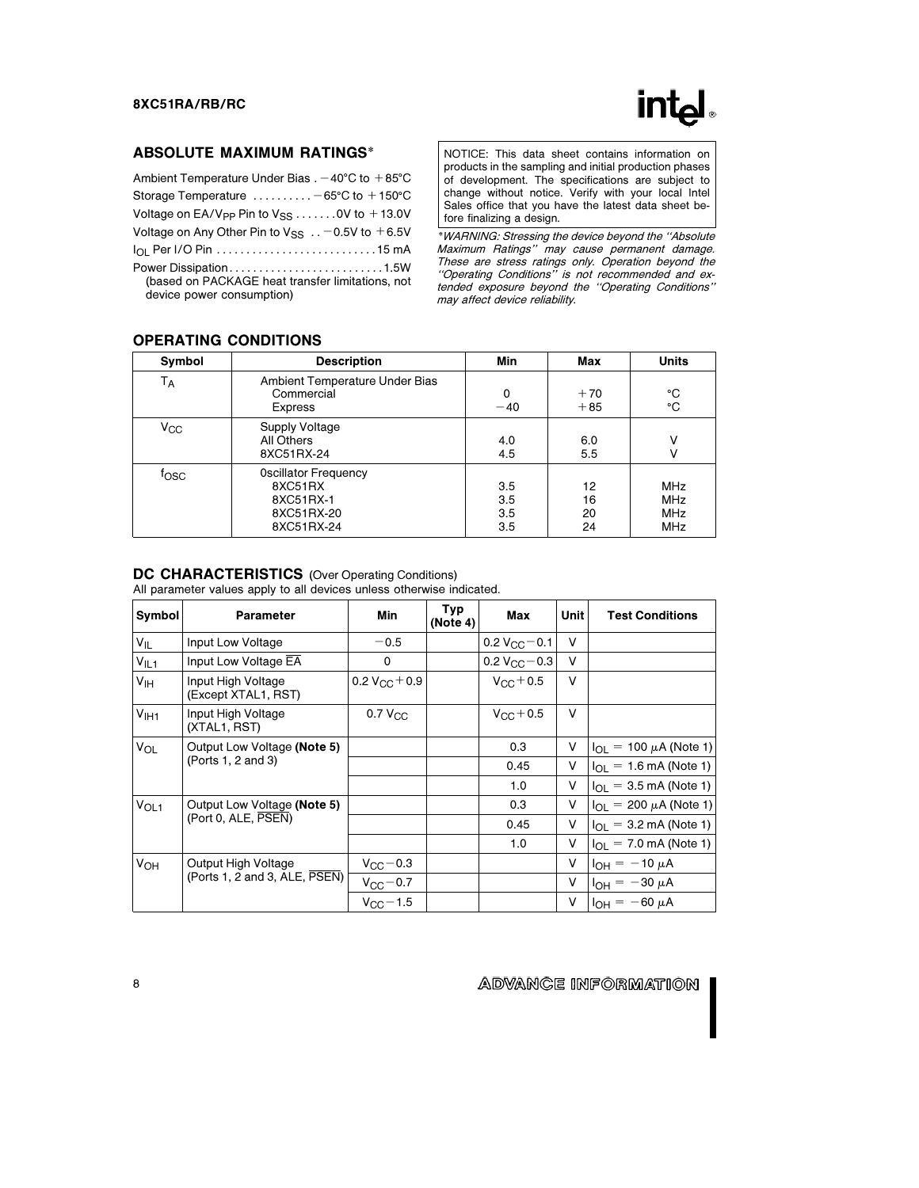

# ABSOLUTE MAXIMUM RATINGS\*

| Ambient Temperature Under Bias $. -40^{\circ}$ C to $+85^{\circ}$ C                                    |
|--------------------------------------------------------------------------------------------------------|
| Storage Temperature $\dots\dots\dots -65^{\circ}C$ to $+150^{\circ}C$                                  |
| Voltage on EA/V <sub>PP</sub> Pin to $V_{SS}$ 0V to $+13.0V$                                           |
| Voltage on Any Other Pin to $V_{SS}$ -0.5V to +6.5V                                                    |
|                                                                                                        |
| Power Dissipation1.5W<br>(based on PACKAGE heat transfer limitations, not<br>device power consumption) |

NOTICE: This data sheet contains information on products in the sampling and initial production phases of development. The specifications are subject to change without notice. Verify with your local Intel Sales office that you have the latest data sheet before finalizing a design.

\*WARNING: Stressing the device beyond the ''Absolute Maximum Ratings'' may cause permanent damage. These are stress ratings only. Operation beyond the ''Operating Conditions'' is not recommended and extended exposure beyond the ''Operating Conditions'' may affect device reliability.

| Symbol         | <b>Description</b>                                                              | Min                      | Max                  | <b>Units</b>                                         |
|----------------|---------------------------------------------------------------------------------|--------------------------|----------------------|------------------------------------------------------|
| $T_A$          | Ambient Temperature Under Bias<br>Commercial<br><b>Express</b>                  | 0<br>$-40$               | $+70$<br>$+85$       | °C<br>°C                                             |
| $V_{\rm CC}$   | <b>Supply Voltage</b><br>All Others<br>8XC51RX-24                               | 4.0<br>4.5               | 6.0<br>5.5           | v<br>v                                               |
| $f_{\rm{OSC}}$ | <b>Oscillator Frequency</b><br>8XC51RX<br>8XC51RX-1<br>8XC51RX-20<br>8XC51RX-24 | 3.5<br>3.5<br>3.5<br>3.5 | 12<br>16<br>20<br>24 | <b>MHz</b><br><b>MHz</b><br><b>MHz</b><br><b>MHz</b> |

# OPERATING CONDITIONS

#### DC CHARACTERISTICS (Over Operating Conditions)

All parameter values apply to all devices unless otherwise indicated.

| Symbol           | <b>Parameter</b>                                                   | Min                    | Typ<br>(Note 4) | Max                     | Unit | <b>Test Conditions</b>                 |
|------------------|--------------------------------------------------------------------|------------------------|-----------------|-------------------------|------|----------------------------------------|
| $V_{IL}$         | Input Low Voltage                                                  | $-0.5$                 |                 | $0.2 V_{\rm GC}$ $-0.1$ | v    |                                        |
| $V_{IL1}$        | Input Low Voltage EA                                               | 0                      |                 | 0.2 $V_{\rm CC}$ – 0.3  | v    |                                        |
| V <sub>IH</sub>  | Input High Voltage<br>(Except XTAL1, RST)                          | $0.2 V_{\rm CC} + 0.9$ |                 | $V_{\rm CC} + 0.5$      | v    |                                        |
| V <sub>1H1</sub> | Input High Voltage<br>(XTAL1, RST)                                 | $0.7 V_{C}$            |                 | $V_{\rm GC} + 0.5$      | v    |                                        |
| V <sub>OL</sub>  | Output Low Voltage (Note 5)<br>(Ports 1, 2 and 3)                  |                        |                 | 0.3                     | V    | $I_{\Omega I} = 100 \mu A$ (Note 1)    |
|                  |                                                                    |                        |                 | 0.45                    | v    | $I_{OL} = 1.6 \text{ mA}$ (Note 1)     |
|                  |                                                                    |                        |                 | 1.0                     | V    | $I_{\Omega} = 3.5 \text{ mA}$ (Note 1) |
| V <sub>OL1</sub> | Output Low Voltage (Note 5)                                        |                        |                 | 0.3                     | V    | $I_{\Omega I}$ = 200 $\mu$ A (Note 1)  |
|                  | (Port 0, ALE, PSEN)                                                |                        |                 | 0.45                    | v    | $I_{OL}$ = 3.2 mA (Note 1)             |
|                  |                                                                    |                        |                 | 1.0                     | V    | $I_{\Omega I}$ = 7.0 mA (Note 1)       |
| V <sub>OH</sub>  | Output High Voltage<br>(Ports 1, 2 and 3, ALE, $\overline{PSEN}$ ) | $V_{\rm CC}$ – 0.3     |                 |                         | v    | $I_{OH} = -10 \mu A$                   |
|                  |                                                                    | $V_{\rm CC}$ - 0.7     |                 |                         | V    | $I_{OH} = -30 \mu A$                   |
|                  |                                                                    | $V_{\rm CC}$ – 1.5     |                 |                         | V    | $I_{OH} = -60 \mu A$                   |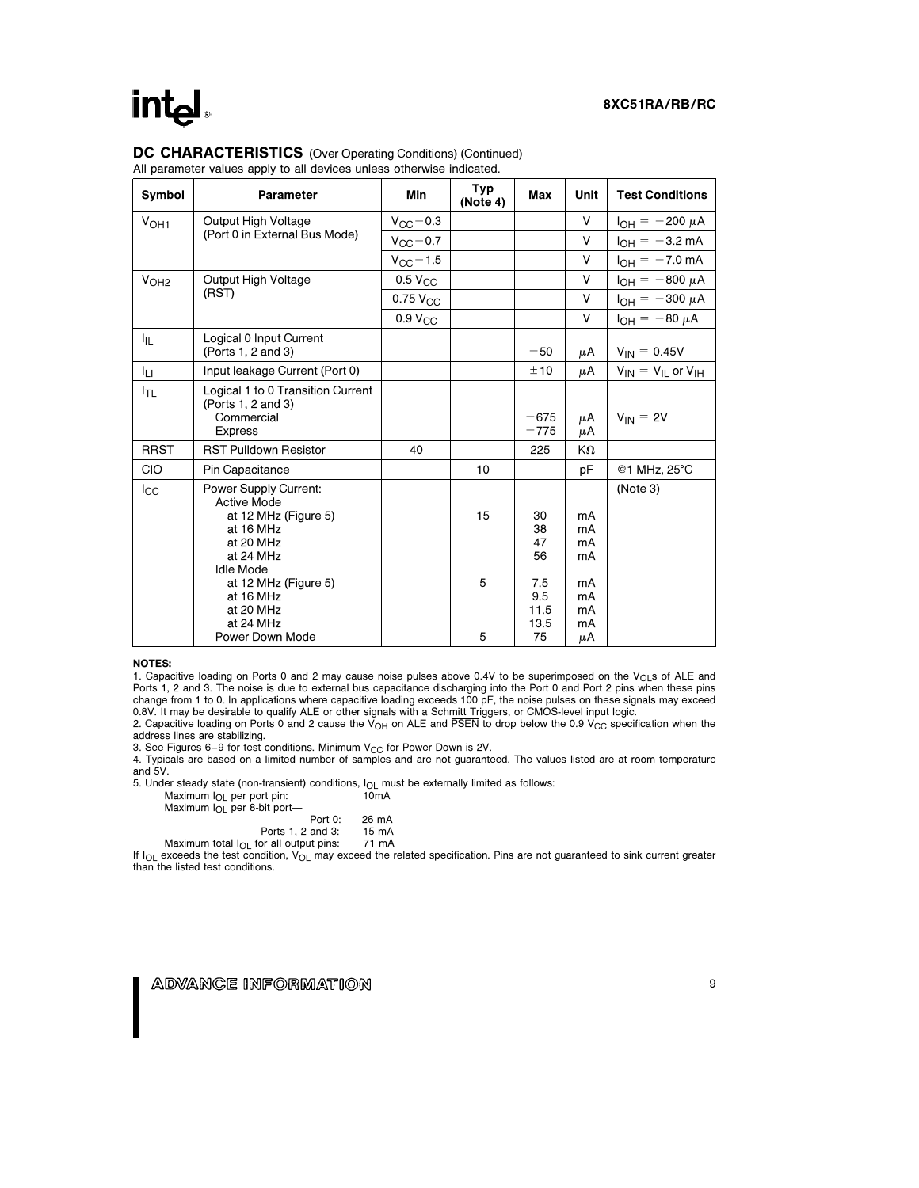# **intel**

#### DC CHARACTERISTICS (Over Operating Conditions) (Continued) All parameter values apply to all devices unless otherwise indicated.

| Symbol           | <b>Parameter</b>                                                                                                                                                                              | Min                 | Typ<br>(Note 4) | Max                                                | Unit                                         | <b>Test Conditions</b>        |
|------------------|-----------------------------------------------------------------------------------------------------------------------------------------------------------------------------------------------|---------------------|-----------------|----------------------------------------------------|----------------------------------------------|-------------------------------|
| V <sub>OH1</sub> | Output High Voltage                                                                                                                                                                           | $V_{\rm CC}$ – 0.3  |                 |                                                    | $\vee$                                       | $I_{OH} = -200 \mu A$         |
|                  | (Port 0 in External Bus Mode)                                                                                                                                                                 | $V_{\rm CC}$ - 0.7  |                 |                                                    | V                                            | $I_{OH} = -3.2$ mA            |
|                  |                                                                                                                                                                                               | $V_{\rm CC}$ – 1.5  |                 |                                                    | V                                            | $I_{OH} = -7.0$ mA            |
| V <sub>OH2</sub> | Output High Voltage                                                                                                                                                                           | $0.5$ $V_{CC}$      |                 |                                                    | V                                            | $I_{OH} = -800 \mu A$         |
|                  | (RST)                                                                                                                                                                                         | $0.75$ $V_{CC}$     |                 |                                                    | V                                            | $I_{OH} = -300 \mu A$         |
|                  |                                                                                                                                                                                               | 0.9 V <sub>CC</sub> |                 |                                                    | V                                            | $I_{OH} = -80 \mu A$          |
| 址                | Logical 0 Input Current<br>(Ports 1, 2 and 3)                                                                                                                                                 |                     |                 | $-50$                                              | μA                                           | $V_{IN} = 0.45V$              |
| Iц               | Input leakage Current (Port 0)                                                                                                                                                                |                     |                 | ±10                                                | μA                                           | $V_{IN} = V_{IL}$ or $V_{IH}$ |
| I <sub>TL</sub>  | Logical 1 to 0 Transition Current<br>(Ports 1, 2 and 3)<br>Commercial<br><b>Express</b>                                                                                                       |                     |                 | $-675$<br>$-775$                                   | μA<br>μA                                     | $V_{IN} = 2V$                 |
| <b>RRST</b>      | <b>RST Pulldown Resistor</b>                                                                                                                                                                  | 40                  |                 | 225                                                | KΩ                                           |                               |
| <b>CIO</b>       | Pin Capacitance                                                                                                                                                                               |                     | 10              |                                                    | рF                                           | @1 MHz, 25°C                  |
| Icc              | <b>Power Supply Current:</b><br><b>Active Mode</b><br>at 12 MHz (Figure 5)<br>at 16 MHz<br>at 20 MHz<br>at 24 MHz<br>Idle Mode<br>at 12 MHz (Figure 5)<br>at 16 MHz<br>at 20 MHz<br>at 24 MHz |                     | 15<br>5         | 30<br>38<br>47<br>56<br>7.5<br>9.5<br>11.5<br>13.5 | mA<br>mA<br>mA<br>mA<br>mA<br>mA<br>mA<br>mA | (Note 3)                      |
|                  | Power Down Mode                                                                                                                                                                               |                     | 5               | 75                                                 | μA                                           |                               |

#### NOTES:

1. Capacitive loading on Ports 0 and 2 may cause noise pulses above 0.4V to be superimposed on the VOLs of ALE and Ports 1, 2 and 3. The noise is due to external bus capacitance discharging into the Port 0 and Port 2 pins when these pins change from 1 to 0. In applications where capacitive loading exceeds 100 pF, the noise pulses on these signals may exceed 0.8V. It may be desirable to qualify ALE or other signals with a Schmitt Triggers, or CMOS-level input logic.

2. Capacitive loading on Ports 0 and 2 cause the  $V_{OH}$  on ALE and PSEN to drop below the 0.9 V<sub>CC</sub> specification when the address lines are stabilizing.

3. See Figures 6-9 for test conditions. Minimum  $V_{CC}$  for Power Down is 2V.

4. Typicals are based on a limited number of samples and are not guaranteed. The values listed are at room temperature and 5V.

5. Under steady state (non-transient) conditions, l<sub>OL</sub> must be externally limited as follows:<br>Maximum l<sub>OL</sub> per port pin: 10mA

| Maximum I <sub>OL</sub> per 8-bit port- |  |  |
|-----------------------------------------|--|--|

| Port 0:              | 26 mA |
|----------------------|-------|
| Ports 1, 2 and 3:    | 15 mA |
| for all output pins: | 71 mA |

Ports 1, 2 and 3: 15 mA<br>Maximum total I<sub>OL</sub> for all output pins: 71 mA<br>If I<sub>OL</sub> exceeds the test condition, V<sub>OL</sub> may exceed the related specification. Pins are not guaranteed to sink current greater than the listed test conditions.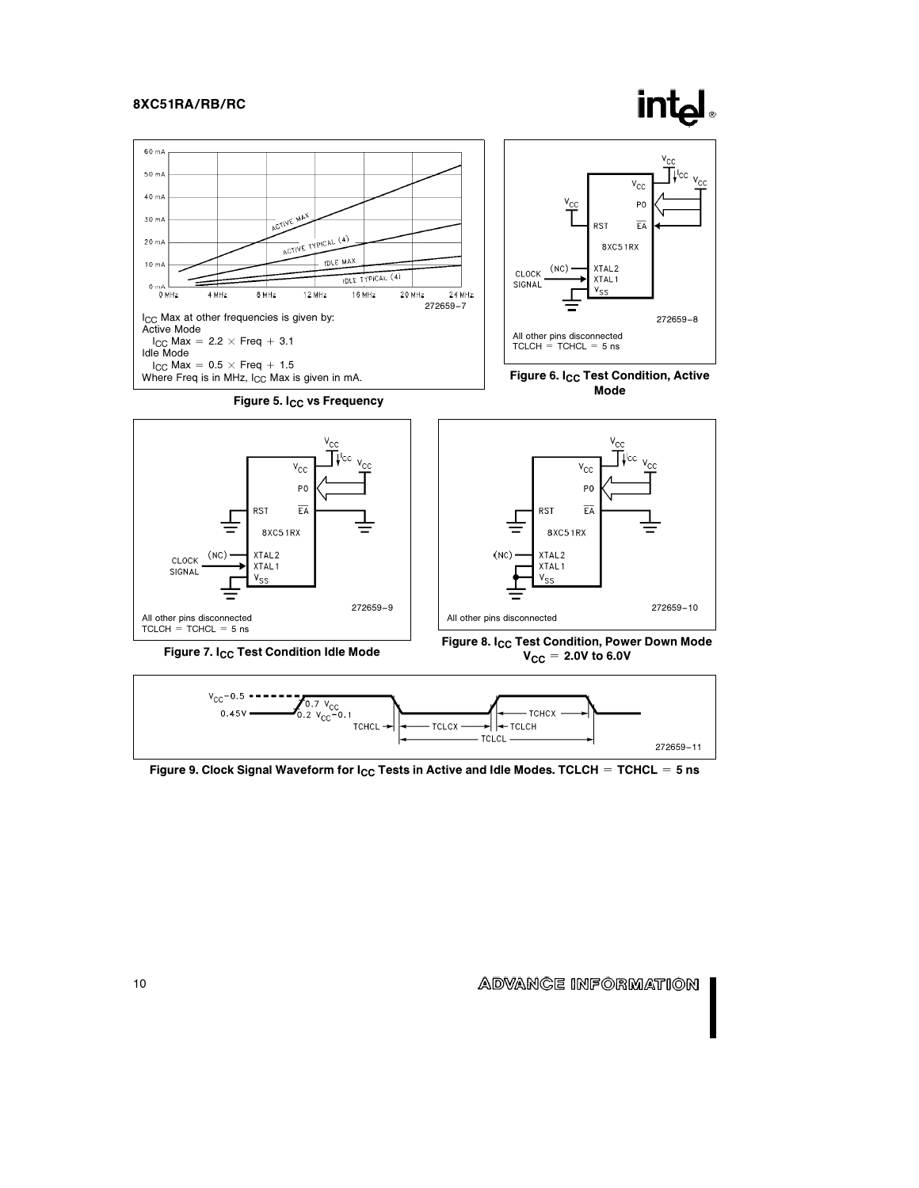







Figure 7. I<sub>CC</sub> Test Condition Idle Mode

 $V_{CC}$  = 2.0V to 6.0V



Figure 9. Clock Signal Waveform for  $I_{CC}$  Tests in Active and Idle Modes. TCLCH = TCHCL = 5 ns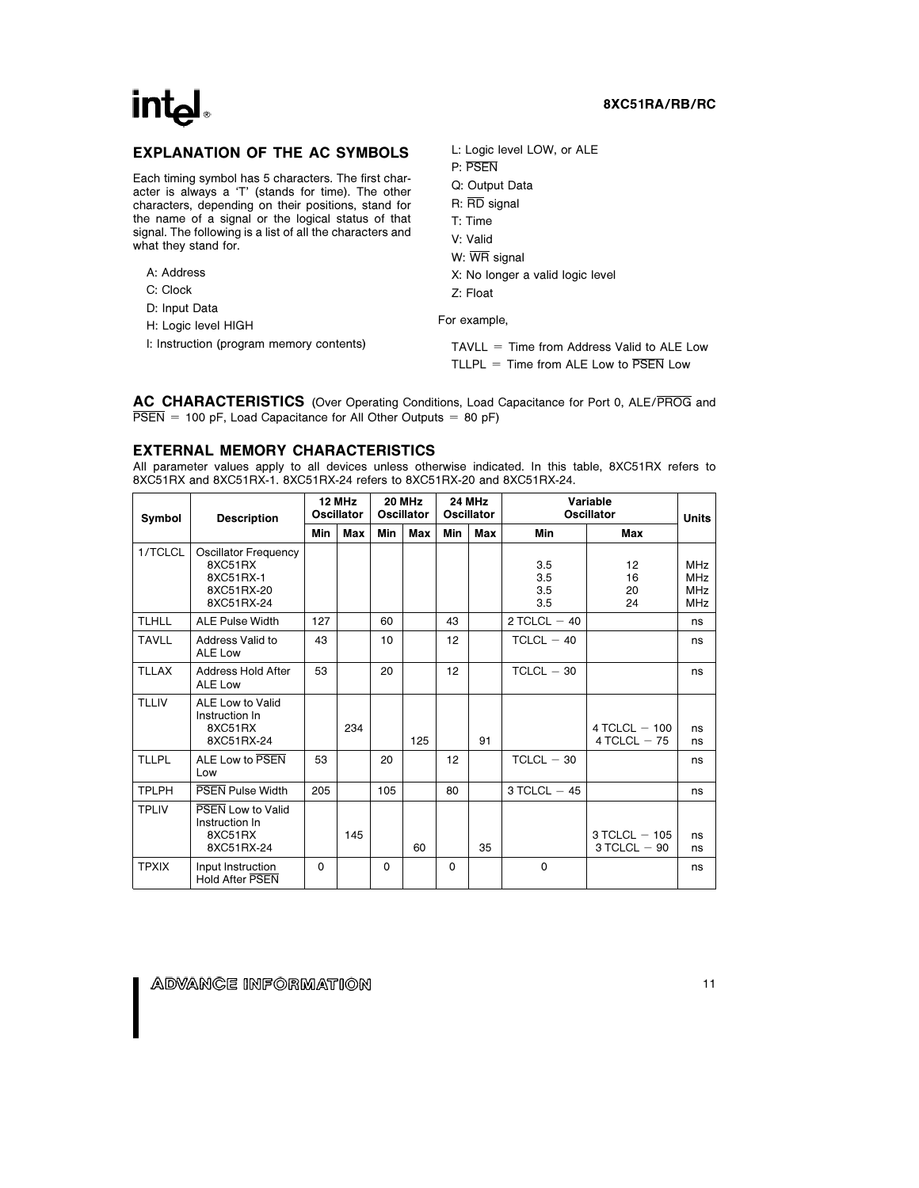# int<sub>e</sub>

# 8XC51RA/RB/RC

# EXPLANATION OF THE AC SYMBOLS

Each timing symbol has 5 characters. The first character is always a 'T' (stands for time). The other characters, depending on their positions, stand for the name of a signal or the logical status of that signal. The following is a list of all the characters and what they stand for.

- A: Address
- C: Clock
- D: Input Data
- H: Logic level HIGH

I: Instruction (program memory contents)

L: Logic level LOW, or ALE

- P: PSEN Q: Output Data
- R: RD signal
- T: Time
- V: Valid
- W: WR signal
- X: No longer a valid logic level
- Z: Float

For example,

 $TAVLL = Time from Address Valid to ALE Low$ TLLPL  $=$  Time from ALE Low to  $\overline{PSEN}$  Low

AC CHARACTERISTICS (Over Operating Conditions, Load Capacitance for Port 0, ALE/PROG and  $\overline{\text{PSEN}}$  = 100 pF, Load Capacitance for All Other Outputs = 80 pF)

#### EXTERNAL MEMORY CHARACTERISTICS

All parameter values apply to all devices unless otherwise indicated. In this table, 8XC51RX refers to 8XC51RX and 8XC51RX-1. 8XC51RX-24 refers to 8XC51RX-20 and 8XC51RX-24.

| <b>Description</b><br>Symbol |                                                                          | 12 MHz<br><b>Oscillator</b> |     | 20 MHz<br><b>Oscillator</b> |     | 24 MHz<br><b>Oscillator</b> |     | Variable<br><b>Oscillator</b> |                                      | <b>Units</b>                                         |
|------------------------------|--------------------------------------------------------------------------|-----------------------------|-----|-----------------------------|-----|-----------------------------|-----|-------------------------------|--------------------------------------|------------------------------------------------------|
|                              |                                                                          | Min                         | Max | Min                         | Max | Min                         | Max | Min                           | Max                                  |                                                      |
| 1/TCLCL                      | Oscillator Frequency<br>8XC51RX<br>8XC51RX-1<br>8XC51RX-20<br>8XC51RX-24 |                             |     |                             |     |                             |     | 3.5<br>3.5<br>3.5<br>3.5      | 12<br>16<br>20<br>24                 | <b>MHz</b><br><b>MHz</b><br><b>MHz</b><br><b>MHz</b> |
| <b>TLHLL</b>                 | <b>ALE Pulse Width</b>                                                   | 127                         |     | 60                          |     | 43                          |     | 2 TCLCL $-40$                 |                                      | ns                                                   |
| <b>TAVLL</b>                 | Address Valid to<br>ALE Low                                              | 43                          |     | 10                          |     | 12                          |     | $TCLCL - 40$                  |                                      | ns                                                   |
| <b>TLLAX</b>                 | Address Hold After<br><b>ALE Low</b>                                     | 53                          |     | 20                          |     | 12                          |     | $TCLCL - 30$                  |                                      | ns                                                   |
| <b>TLLIV</b>                 | ALE Low to Valid<br>Instruction In<br>8XC51RX<br>8XC51RX-24              |                             | 234 |                             | 125 |                             | 91  |                               | 4 TCLCL $-$ 100<br>$4$ TCLCL $-75$   | ns<br>ns                                             |
| <b>TLLPL</b>                 | ALE Low to PSEN<br>Low                                                   | 53                          |     | 20                          |     | 12                          |     | $TCLCL - 30$                  |                                      | ns                                                   |
| <b>TPLPH</b>                 | <b>PSEN Pulse Width</b>                                                  | 205                         |     | 105                         |     | 80                          |     | $3$ TCLCL $-45$               |                                      | ns                                                   |
| <b>TPLIV</b>                 | <b>PSEN Low to Valid</b><br>Instruction In<br>8XC51RX<br>8XC51RX-24      |                             | 145 |                             | 60  |                             | 35  |                               | $3$ TCLCL $-$ 105<br>$3$ TCLCL $-90$ | ns<br>ns                                             |
| <b>TPXIX</b>                 | Input Instruction<br><b>Hold After PSEN</b>                              | $\Omega$                    |     | $\Omega$                    |     | $\Omega$                    |     | $\Omega$                      |                                      | ns                                                   |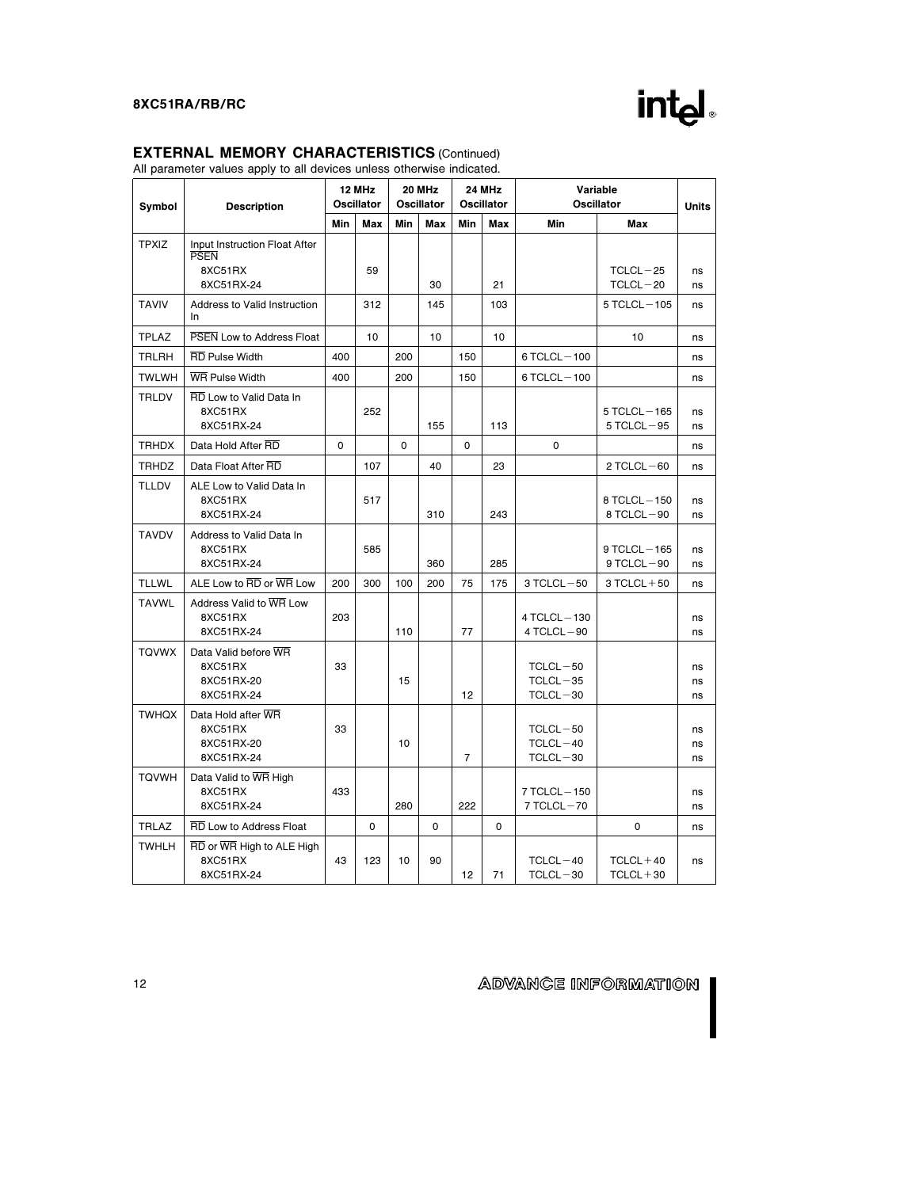

# EXTERNAL MEMORY CHARACTERISTICS (Continued)

All parameter values apply to all devices unless otherwise indicated.

| Symbol       | <b>Description</b>                                          |     | 12 MHz<br><b>Oscillator</b> | 20 MHz<br><b>Oscillator</b> |          | 24 MHz<br><b>Oscillator</b> |          | Variable<br><b>Oscillator</b>                |                                     | <b>Units</b>   |
|--------------|-------------------------------------------------------------|-----|-----------------------------|-----------------------------|----------|-----------------------------|----------|----------------------------------------------|-------------------------------------|----------------|
|              |                                                             |     | Max                         | Min                         | Max      | Min                         | Max      | Min                                          | Max                                 |                |
| <b>TPXIZ</b> | Input Instruction Float After<br><b>PSEN</b><br>8XC51RX     |     | 59                          |                             |          |                             |          |                                              | $TCLCL-25$                          |                |
|              | 8XC51RX-24                                                  |     |                             |                             | 30       |                             | 21       |                                              | $TCLCL-20$                          | ns<br>ns       |
| <b>TAVIV</b> | Address to Valid Instruction<br><b>In</b>                   |     | 312                         |                             | 145      |                             | 103      |                                              | $5$ TCLCL $-105$                    | ns             |
| <b>TPLAZ</b> | PSEN Low to Address Float                                   |     | 10                          |                             | 10       |                             | 10       |                                              | 10                                  | ns             |
| <b>TRLRH</b> | <b>RD</b> Pulse Width                                       | 400 |                             | 200                         |          | 150                         |          | 6 TCLCL-100                                  |                                     | ns             |
| <b>TWLWH</b> | <b>WR Pulse Width</b>                                       | 400 |                             | 200                         |          | 150                         |          | $6$ TCLCL $-100$                             |                                     | ns             |
| <b>TRLDV</b> | RD Low to Valid Data In<br>8XC51RX<br>8XC51RX-24            |     | 252                         |                             | 155      |                             | 113      |                                              | 5 TCLCL-165<br>$5$ TCLCL $-95$      | ns<br>ns       |
| <b>TRHDX</b> | Data Hold After RD                                          | 0   |                             | $\mathbf 0$                 |          | 0                           |          | $\mathbf 0$                                  |                                     | ns             |
| <b>TRHDZ</b> | Data Float After RD                                         |     | 107                         |                             | 40       |                             | 23       |                                              | $2$ TCLCL $-60$                     | ns             |
| <b>TLLDV</b> | ALE Low to Valid Data In<br>8XC51RX<br>8XC51RX-24           |     | 517                         |                             | 310      |                             | 243      |                                              | $8$ TCLCL $-150$<br>$8$ TCLCL $-90$ | ns<br>ns       |
| <b>TAVDV</b> | Address to Valid Data In<br>8XC51RX<br>8XC51RX-24           |     | 585                         |                             | 360      |                             | 285      |                                              | $9$ TCLCL $-165$<br>$9$ TCLCL $-90$ | ns<br>ns       |
| <b>TLLWL</b> | ALE Low to RD or WR Low                                     | 200 | 300                         | 100                         | 200      | 75                          | 175      | $3$ TCLCL $-50$                              | $3 TCLCL + 50$                      | ns             |
| <b>TAVWL</b> | Address Valid to WR Low<br>8XC51RX<br>8XC51RX-24            | 203 |                             | 110                         |          | 77                          |          | 4 TCLCL-130<br>4 TCLCL-90                    |                                     | ns<br>ns       |
| <b>TQVWX</b> | Data Valid before WR<br>8XC51RX<br>8XC51RX-20<br>8XC51RX-24 | 33  |                             | 15                          |          | 12                          |          | $TCLCL - 50$<br>$TCLCL - 35$<br>$TCLCL - 30$ |                                     | ns<br>ns<br>ns |
| <b>TWHQX</b> | Data Hold after WR<br>8XC51RX<br>8XC51RX-20<br>8XC51RX-24   | 33  |                             | 10                          |          | $\overline{7}$              |          | TCLCL-50<br>$TCLCL - 40$<br>$TCLCL - 30$     |                                     | ns<br>ns<br>ns |
| <b>TQVWH</b> | Data Valid to WR High<br>8XC51RX<br>8XC51RX-24              | 433 |                             | 280                         |          | 222                         |          | $7$ TCLCL $-150$<br>$7$ TCLCL $-70$          |                                     | ns<br>ns       |
| <b>TRLAZ</b> | RD Low to Address Float                                     |     | $\mathbf 0$                 |                             | $\Omega$ |                             | $\Omega$ |                                              | $\mathbf 0$                         | ns             |
| <b>TWHLH</b> | RD or WR High to ALE High<br>8XC51RX<br>8XC51RX-24          | 43  | 123                         | 10                          | 90       | 12                          | 71       | $TCLCL-40$<br>$TCLCL - 30$                   | $TCLCL + 40$<br>$TCLCL + 30$        | ns             |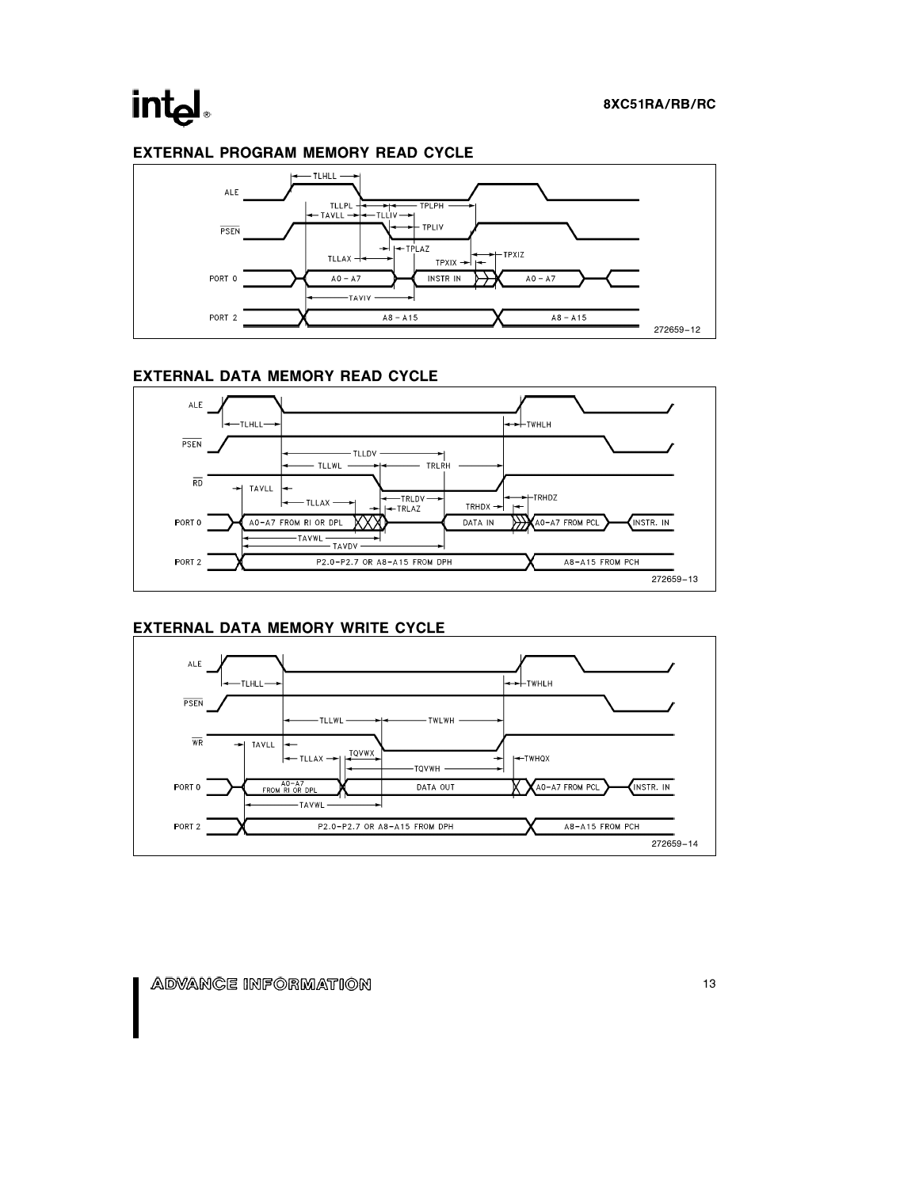# int<sub>el</sub>

# EXTERNAL PROGRAM MEMORY READ CYCLE



# EXTERNAL DATA MEMORY READ CYCLE



# EXTERNAL DATA MEMORY WRITE CYCLE

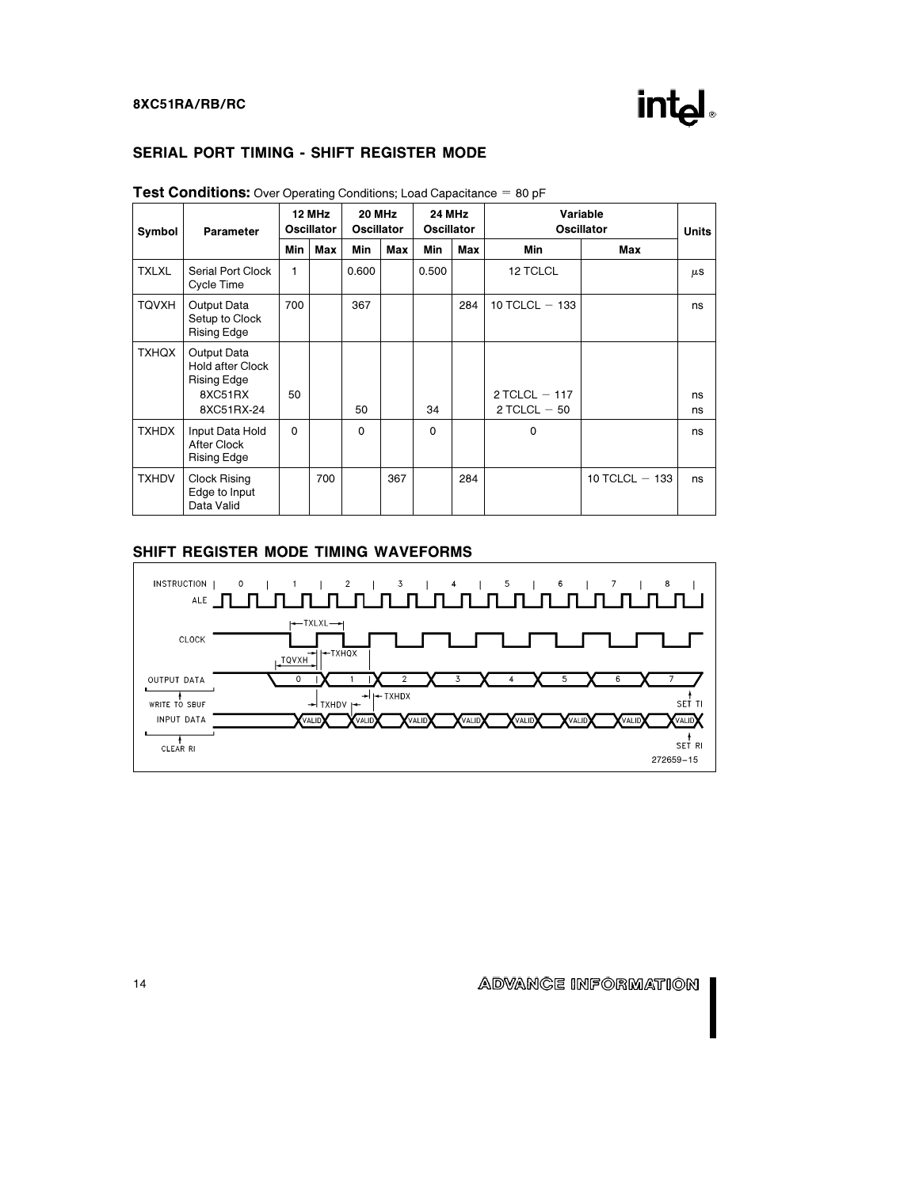

# SERIAL PORT TIMING - SHIFT REGISTER MODE

| Symbol       | <b>Parameter</b>                                                               | 12 MHz<br><b>Oscillator</b> |     | 20 MHz<br><b>Oscillator</b> |     | <b>24 MHz</b><br><b>Oscillator</b> |     | Variable<br><b>Oscillator</b>       |                  | <b>Units</b> |
|--------------|--------------------------------------------------------------------------------|-----------------------------|-----|-----------------------------|-----|------------------------------------|-----|-------------------------------------|------------------|--------------|
|              |                                                                                | Min                         | Max | Min                         | Max | Min                                | Max | Min                                 | Max              |              |
| <b>TXLXL</b> | Serial Port Clock<br>Cycle Time                                                | 1                           |     | 0.600                       |     | 0.500                              |     | 12 TCLCL                            |                  | $\mu$ S      |
| <b>TQVXH</b> | Output Data<br>Setup to Clock<br>Rising Edge                                   | 700                         |     | 367                         |     |                                    | 284 | 10 TCLCL $-$ 133                    |                  | ns           |
| <b>TXHQX</b> | Output Data<br><b>Hold after Clock</b><br>Rising Edge<br>8XC51RX<br>8XC51RX-24 | 50                          |     | 50                          |     | 34                                 |     | $2$ TCLCL $-117$<br>$2$ TCLCL $-50$ |                  | ns<br>ns     |
| <b>TXHDX</b> | Input Data Hold<br>After Clock<br>Rising Edge                                  | $\Omega$                    |     | $\Omega$                    |     | $\Omega$                           |     | 0                                   |                  | ns           |
| <b>TXHDV</b> | Clock Rising<br>Edge to Input<br>Data Valid                                    |                             | 700 |                             | 367 |                                    | 284 |                                     | 10 TCLCL $-$ 133 | ns           |

#### **Test Conditions:** Over Operating Conditions; Load Capacitance  $= 80$  pF

# SHIFT REGISTER MODE TIMING WAVEFORMS

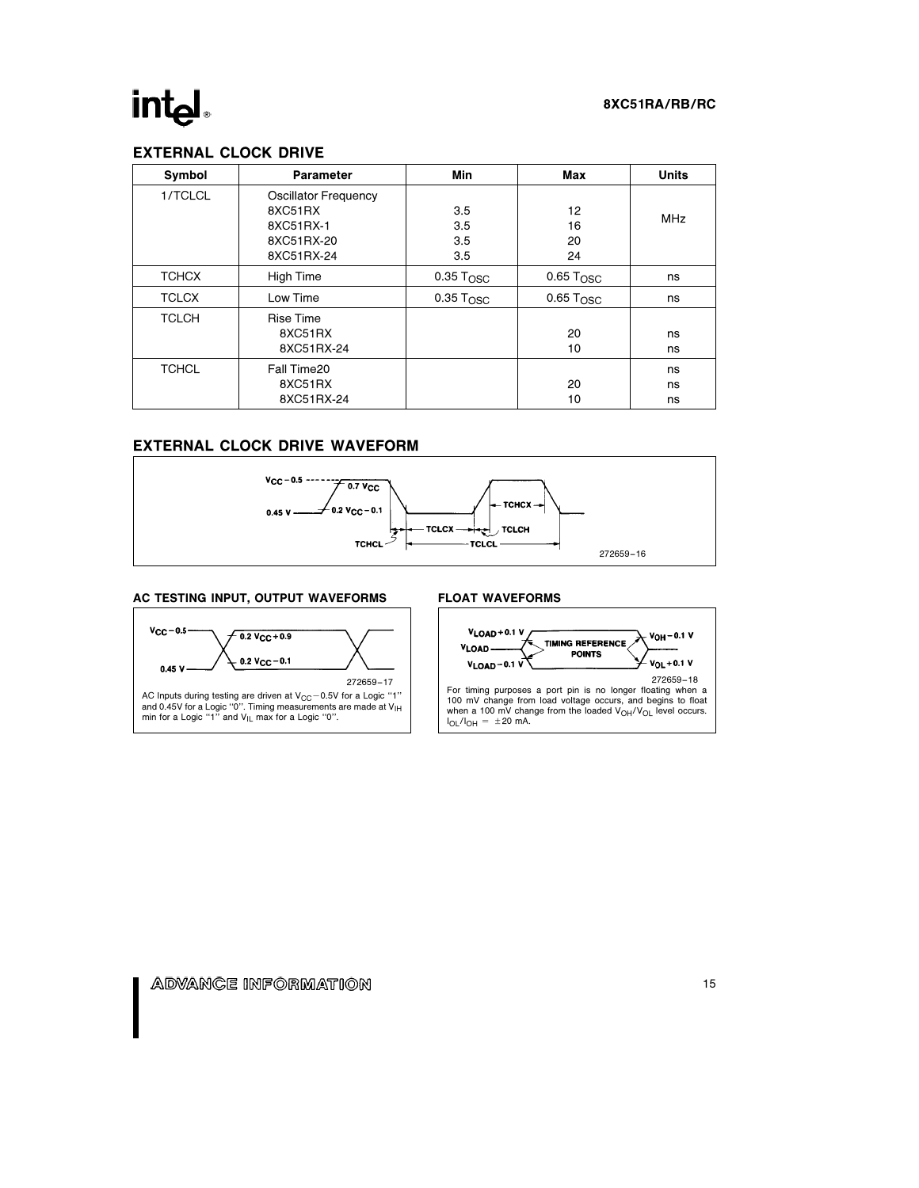# intel.

### 8XC51RA/RB/RC

# EXTERNAL CLOCK DRIVE

| Symbol       | Parameter                                                                       | Min                      | Max                     | <b>Units</b>   |
|--------------|---------------------------------------------------------------------------------|--------------------------|-------------------------|----------------|
| 1/TCLCL      | <b>Oscillator Frequency</b><br>8XC51RX<br>8XC51RX-1<br>8XC51RX-20<br>8XC51RX-24 | 3.5<br>3.5<br>3.5<br>3.5 | 12<br>16<br>20<br>24    | <b>MHz</b>     |
| <b>TCHCX</b> | <b>High Time</b>                                                                | $0.35$ $T_{\rm OSC}$     | $0.65$ $T_{\rm OSC}$    | ns             |
| <b>TCLCX</b> | Low Time                                                                        | $0.35$ $TOSC$            | $0.65$ T <sub>OSC</sub> | ns             |
| <b>TCLCH</b> | <b>Rise Time</b><br>8XC51RX<br>8XC51RX-24                                       |                          | 20<br>10                | ns<br>ns       |
| <b>TCHCL</b> | Fall Time20<br>8XC51RX<br>8XC51RX-24                                            |                          | 20<br>10                | ns<br>ns<br>ns |

# EXTERNAL CLOCK DRIVE WAVEFORM



#### AC TESTING INPUT, OUTPUT WAVEFORMS





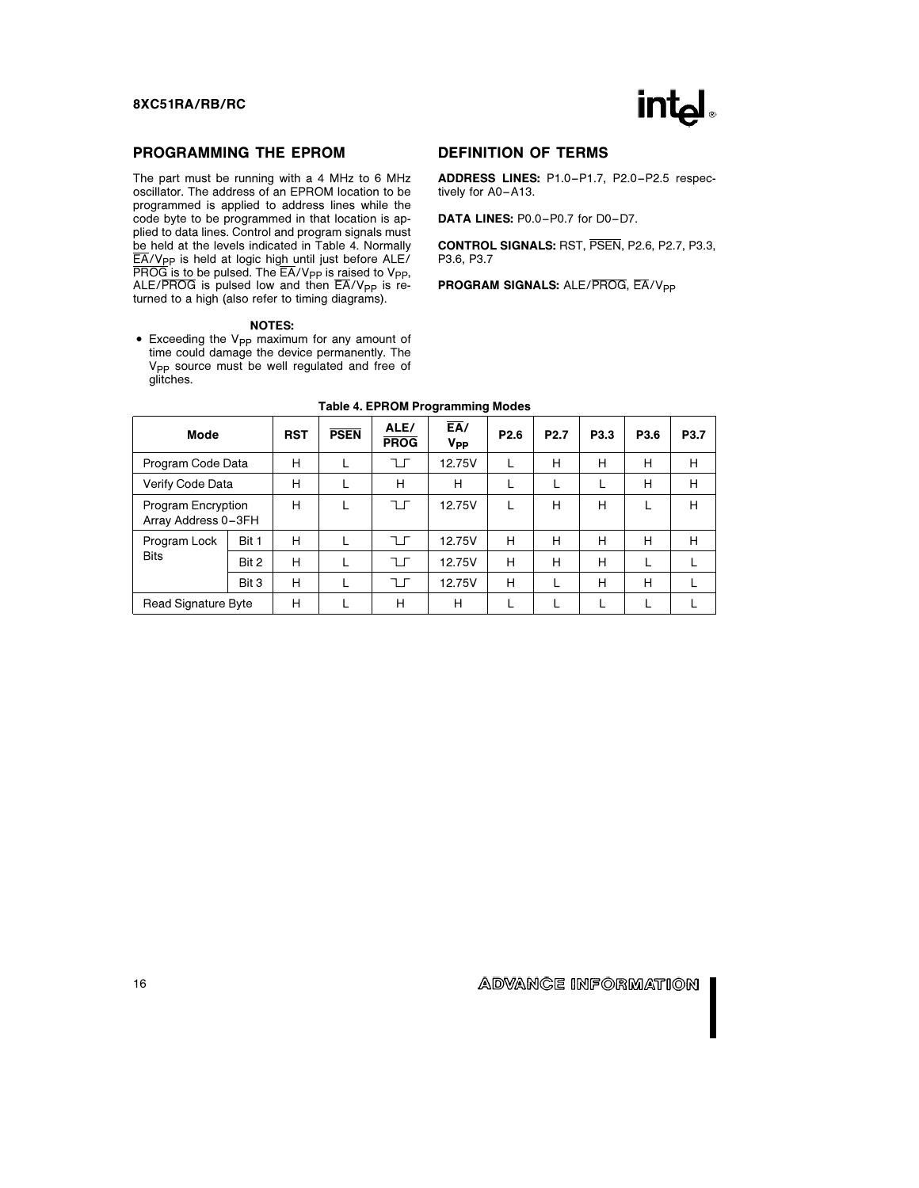

## PROGRAMMING THE EPROM

The part must be running with a 4 MHz to 6 MHz oscillator. The address of an EPROM location to be programmed is applied to address lines while the code byte to be programmed in that location is applied to data lines. Control and program signals must be held at the levels indicated in Table 4. Normally  $E$ A/V<sub>PP</sub> is held at logic high until just before ALE/  $\overline{PROG}$  is to be pulsed. The  $\overline{EA}/V_{PP}$  is raised to  $V_{PP}$ , ALE/PROG is pulsed low and then  $\overline{EA}/V_{PP}$  is returned to a high (also refer to timing diagrams).

#### NOTES:

• Exceeding the V<sub>PP</sub> maximum for any amount of time could damage the device permanently. The V<sub>PP</sub> source must be well regulated and free of glitches.

# DEFINITION OF TERMS

ADDRESS LINES: P1.0 –P1.7, P2.0 –P2.5 respectively for A0-A13.

DATA LINES: P0.0-P0.7 for D0-D7.

CONTROL SIGNALS: RST, PSEN, P2.6, P2.7, P3.3, P3.6, P3.7

PROGRAM SIGNALS: ALE/PROG, EA/V<sub>PP</sub>

| Mode                                      |       | <b>RST</b> | <b>PSEN</b> | ALE/<br><b>PROG</b> | $E_{A}$<br>V <sub>PP</sub> | P <sub>2.6</sub> | P <sub>2.7</sub> | P <sub>3.3</sub> | P3.6 | P <sub>3.7</sub> |
|-------------------------------------------|-------|------------|-------------|---------------------|----------------------------|------------------|------------------|------------------|------|------------------|
| Program Code Data                         |       | н          |             | ᅚ                   | 12.75V                     |                  | Н                | н                | Н    | Н                |
| Verify Code Data                          |       | н          |             | н                   | н                          |                  | L                | L                | н    | Н                |
| Program Encryption<br>Array Address 0-3FH |       | н          |             | ᅚ                   | 12.75V                     |                  | н                | н                |      | н                |
| Program Lock                              | Bit 1 | н          |             | ヿГ                  | 12.75V                     | н                | н                | н                | н    | Н                |
| <b>Bits</b>                               | Bit 2 | н          |             | ᅚ                   | 12.75V                     | н                | н                | н                |      |                  |
|                                           | Bit 3 | н          |             | ᅚ                   | 12.75V                     | Н                | L                | н                | н    |                  |
| Read Signature Byte                       |       | н          |             | н                   | н                          |                  |                  |                  |      |                  |

#### Table 4. EPROM Programming Modes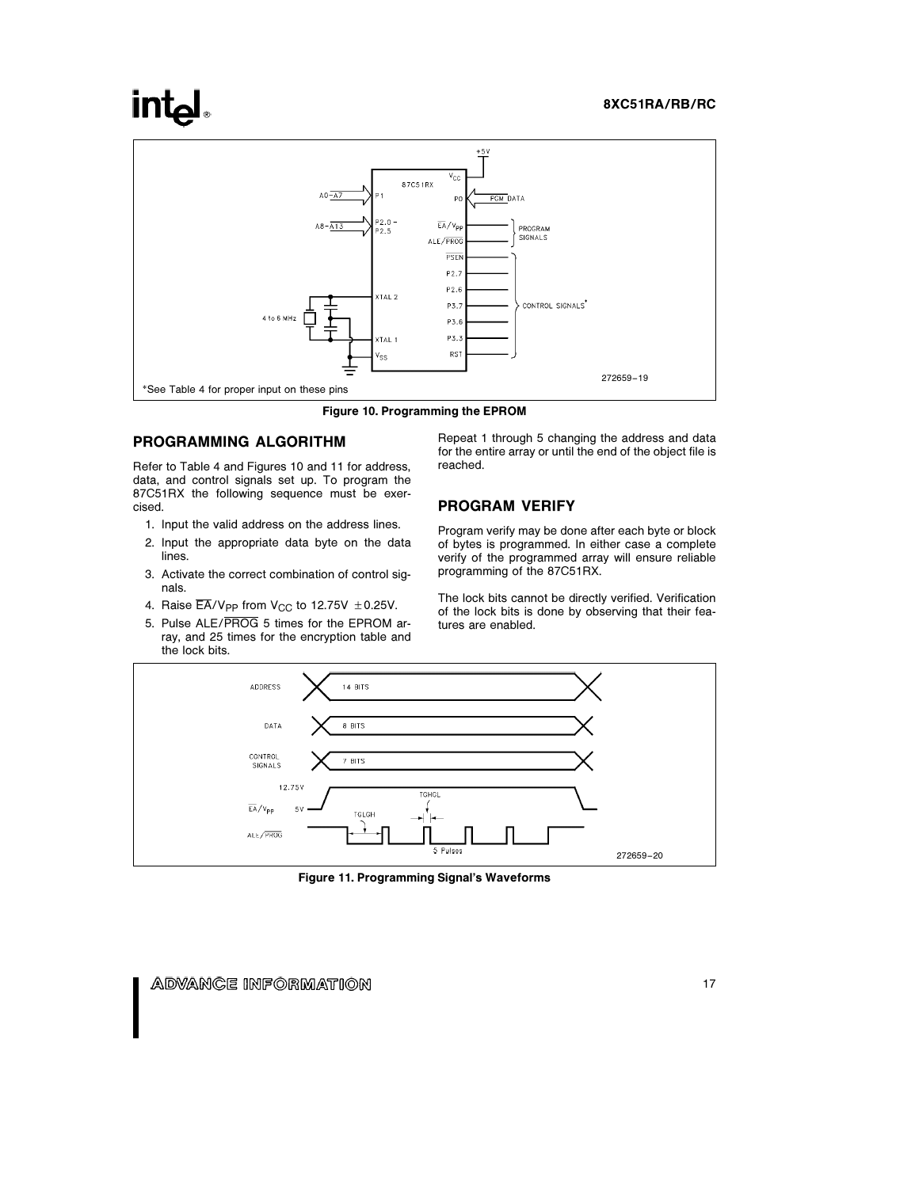# **intel**



Figure 10. Programming the EPROM

### PROGRAMMING ALGORITHM

Refer to Table 4 and Figures 10 and 11 for address, data, and control signals set up. To program the 87C51RX the following sequence must be exercised.

- 1. Input the valid address on the address lines.
- 2. Input the appropriate data byte on the data lines.
- 3. Activate the correct combination of control signals.
- 4. Raise  $\overline{\mathsf{EA}}/\mathsf{V}_{\mathsf{PP}}$  from  $\mathsf{V}_{\mathsf{CC}}$  to 12.75V  $\pm$  0.25V.
- 5. Pulse ALE/PROG 5 times for the EPROM array, and 25 times for the encryption table and the lock bits.

Repeat 1 through 5 changing the address and data for the entire array or until the end of the object file is reached.

#### PROGRAM VERIFY

Program verify may be done after each byte or block of bytes is programmed. In either case a complete verify of the programmed array will ensure reliable programming of the 87C51RX.

The lock bits cannot be directly verified. Verification of the lock bits is done by observing that their features are enabled.



Figure 11. Programming Signal's Waveforms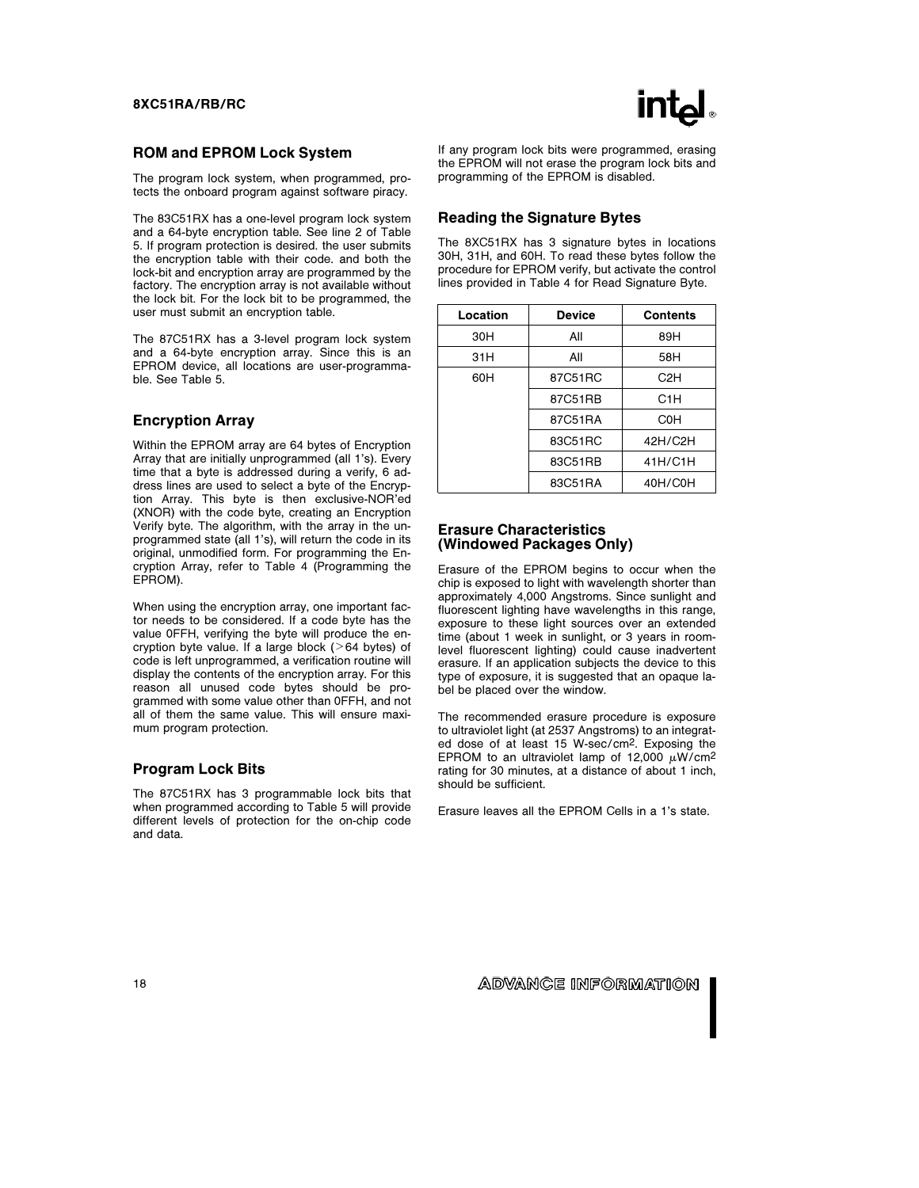#### ROM and EPROM Lock System

The program lock system, when programmed, protects the onboard program against software piracy.

The 83C51RX has a one-level program lock system and a 64-byte encryption table. See line 2 of Table 5. If program protection is desired. the user submits the encryption table with their code. and both the lock-bit and encryption array are programmed by the factory. The encryption array is not available without the lock bit. For the lock bit to be programmed, the user must submit an encryption table.

The 87C51RX has a 3-level program lock system and a 64-byte encryption array. Since this is an EPROM device, all locations are user-programmable. See Table 5.

# Encryption Array

Within the EPROM array are 64 bytes of Encryption Array that are initially unprogrammed (all 1's). Every time that a byte is addressed during a verify, 6 address lines are used to select a byte of the Encryption Array. This byte is then exclusive-NOR'ed (XNOR) with the code byte, creating an Encryption Verify byte. The algorithm, with the array in the unprogrammed state (all 1's), will return the code in its original, unmodified form. For programming the Encryption Array, refer to Table 4 (Programming the EPROM).

When using the encryption array, one important factor needs to be considered. If a code byte has the value 0FFH, verifying the byte will produce the encryption byte value. If a large block ( $>64$  bytes) of code is left unprogrammed, a verification routine will display the contents of the encryption array. For this reason all unused code bytes should be programmed with some value other than 0FFH, and not all of them the same value. This will ensure maximum program protection.

#### Program Lock Bits

The 87C51RX has 3 programmable lock bits that when programmed according to Table 5 will provide different levels of protection for the on-chip code and data.

If any program lock bits were programmed, erasing the EPROM will not erase the program lock bits and programming of the EPROM is disabled.

#### Reading the Signature Bytes

The 8XC51RX has 3 signature bytes in locations 30H, 31H, and 60H. To read these bytes follow the procedure for EPROM verify, but activate the control lines provided in Table 4 for Read Signature Byte.

| Location | <b>Device</b> | <b>Contents</b>  |
|----------|---------------|------------------|
| 30H      | All           | 89H              |
| 31H      | All           | 58H              |
| 60H      | 87C51RC       | C <sub>2</sub> H |
|          | 87C51RB       | C <sub>1</sub> H |
|          | 87C51RA       | <b>COH</b>       |
|          | 83C51RC       | 42H/C2H          |
|          | 83C51RB       | 41H/C1H          |
|          | 83C51RA       | 40H/C0H          |

#### Erasure Characteristics (Windowed Packages Only)

Erasure of the EPROM begins to occur when the chip is exposed to light with wavelength shorter than approximately 4,000 Angstroms. Since sunlight and fluorescent lighting have wavelengths in this range, exposure to these light sources over an extended time (about 1 week in sunlight, or 3 years in roomlevel fluorescent lighting) could cause inadvertent erasure. If an application subjects the device to this type of exposure, it is suggested that an opaque label be placed over the window.

The recommended erasure procedure is exposure to ultraviolet light (at 2537 Angstroms) to an integrated dose of at least 15 W-sec/cm2. Exposing the EPROM to an ultraviolet lamp of 12,000  $\mu$ W/cm<sup>2</sup> rating for 30 minutes, at a distance of about 1 inch, should be sufficient.

Erasure leaves all the EPROM Cells in a 1's state.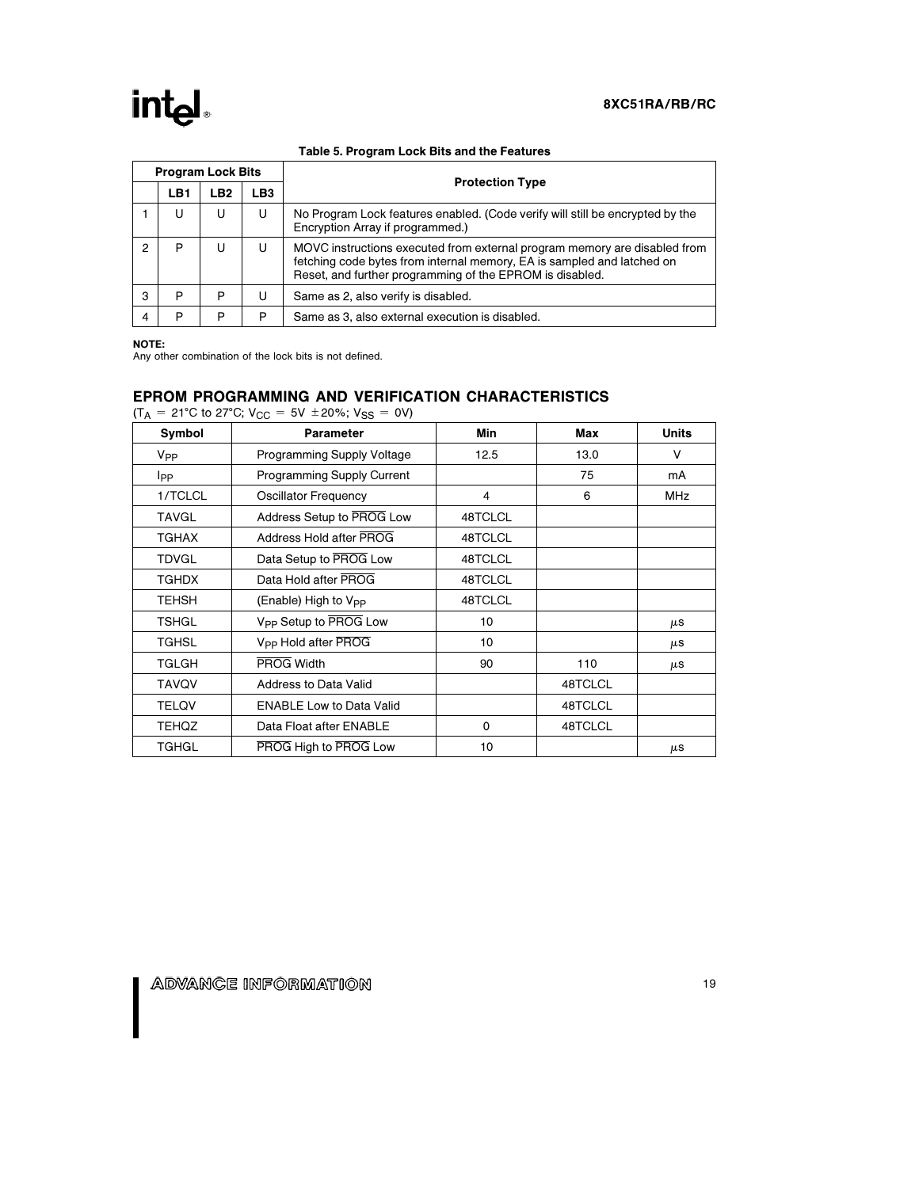# intel.

| <b>Program Lock Bits</b> |                 |                 |                 |                                                                                                                                                                                                                 |  |  |  |  |
|--------------------------|-----------------|-----------------|-----------------|-----------------------------------------------------------------------------------------------------------------------------------------------------------------------------------------------------------------|--|--|--|--|
|                          | LB <sub>1</sub> | LB <sub>2</sub> | LB <sub>3</sub> | <b>Protection Type</b>                                                                                                                                                                                          |  |  |  |  |
|                          | U               | U               | U               | No Program Lock features enabled. (Code verify will still be encrypted by the<br>Encryption Array if programmed.)                                                                                               |  |  |  |  |
| 2                        | P               | U               | U               | MOVC instructions executed from external program memory are disabled from<br>fetching code bytes from internal memory, EA is sampled and latched on<br>Reset, and further programming of the EPROM is disabled. |  |  |  |  |
| 3                        | P               | P               | U               | Same as 2, also verify is disabled.                                                                                                                                                                             |  |  |  |  |
| 4                        | P               | P               | P               | Same as 3, also external execution is disabled.                                                                                                                                                                 |  |  |  |  |

#### Table 5. Program Lock Bits and the Features

NOTE:

Any other combination of the lock bits is not defined.

# EPROM PROGRAMMING AND VERIFICATION CHARACTERISTICS

|                 | $(T_A = 21^{\circ}$ C to 27°C; V <sub>CC</sub> = 5V ± 20%; V <sub>SS</sub> = 0V) |             |         |              |  |  |  |  |  |  |  |
|-----------------|----------------------------------------------------------------------------------|-------------|---------|--------------|--|--|--|--|--|--|--|
| Symbol          | Parameter                                                                        | Min         | Max     | <b>Units</b> |  |  |  |  |  |  |  |
| V <sub>PP</sub> | Programming Supply Voltage                                                       | 12.5        | 13.0    | V            |  |  |  |  |  |  |  |
| Ipp             | <b>Programming Supply Current</b>                                                |             | 75      | mA           |  |  |  |  |  |  |  |
| 1/TCLCL         | <b>Oscillator Frequency</b>                                                      | 4           | 6       | MHz          |  |  |  |  |  |  |  |
| <b>TAVGL</b>    | Address Setup to PROG Low                                                        | 48TCLCL     |         |              |  |  |  |  |  |  |  |
| <b>TGHAX</b>    | Address Hold after PROG                                                          | 48TCLCL     |         |              |  |  |  |  |  |  |  |
| <b>TDVGL</b>    | Data Setup to PROG Low                                                           | 48TCLCL     |         |              |  |  |  |  |  |  |  |
| <b>TGHDX</b>    | Data Hold after PROG                                                             | 48TCLCL     |         |              |  |  |  |  |  |  |  |
| TEHSH           | (Enable) High to V <sub>PP</sub>                                                 | 48TCLCL     |         |              |  |  |  |  |  |  |  |
| <b>TSHGL</b>    | V <sub>PP</sub> Setup to PROG Low                                                | 10          |         | μS           |  |  |  |  |  |  |  |
| <b>TGHSL</b>    | V <sub>PP</sub> Hold after PROG                                                  | 10          |         | $\mu$ S      |  |  |  |  |  |  |  |
| <b>TGLGH</b>    | PROG Width                                                                       | 90          | 110     | μS           |  |  |  |  |  |  |  |
| <b>TAVQV</b>    | <b>Address to Data Valid</b>                                                     |             | 48TCLCL |              |  |  |  |  |  |  |  |
| <b>TELQV</b>    | <b>ENABLE Low to Data Valid</b>                                                  |             | 48TCLCL |              |  |  |  |  |  |  |  |
| <b>TEHQZ</b>    | Data Float after ENABLE                                                          | $\mathbf 0$ | 48TCLCL |              |  |  |  |  |  |  |  |
| TGHGL           | PROG High to PROG Low                                                            | 10          |         | μS           |  |  |  |  |  |  |  |